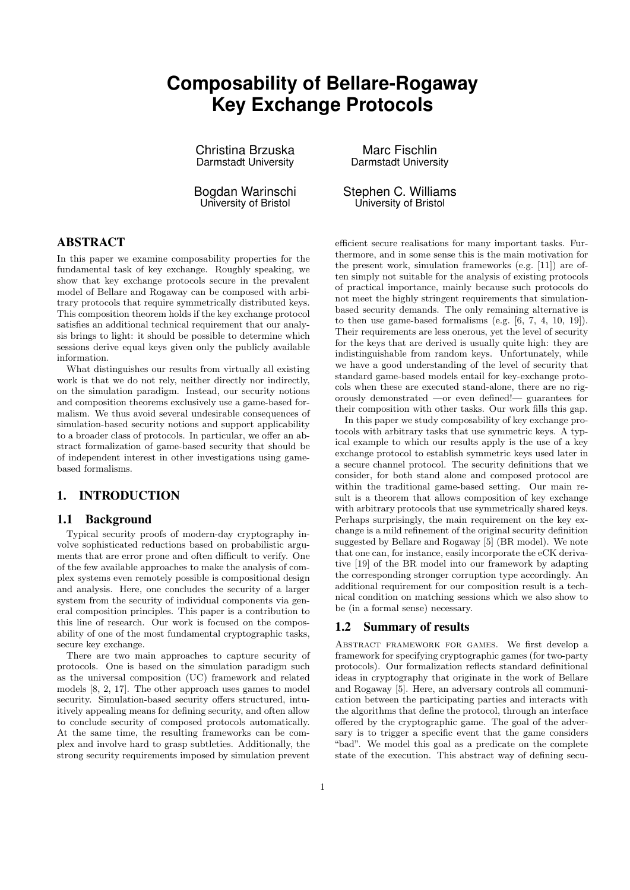# **Composability of Bellare-Rogaway Key Exchange Protocols**

Christina Brzuska Darmstadt University

Bogdan Warinschi University of Bristol

ABSTRACT

In this paper we examine composability properties for the fundamental task of key exchange. Roughly speaking, we show that key exchange protocols secure in the prevalent model of Bellare and Rogaway can be composed with arbitrary protocols that require symmetrically distributed keys. This composition theorem holds if the key exchange protocol satisfies an additional technical requirement that our analysis brings to light: it should be possible to determine which sessions derive equal keys given only the publicly available information.

What distinguishes our results from virtually all existing work is that we do not rely, neither directly nor indirectly, on the simulation paradigm. Instead, our security notions and composition theorems exclusively use a game-based formalism. We thus avoid several undesirable consequences of simulation-based security notions and support applicability to a broader class of protocols. In particular, we offer an abstract formalization of game-based security that should be of independent interest in other investigations using gamebased formalisms.

### 1. INTRODUCTION

### 1.1 Background

Typical security proofs of modern-day cryptography involve sophisticated reductions based on probabilistic arguments that are error prone and often difficult to verify. One of the few available approaches to make the analysis of complex systems even remotely possible is compositional design and analysis. Here, one concludes the security of a larger system from the security of individual components via general composition principles. This paper is a contribution to this line of research. Our work is focused on the composability of one of the most fundamental cryptographic tasks, secure key exchange.

There are two main approaches to capture security of protocols. One is based on the simulation paradigm such as the universal composition (UC) framework and related models [8, 2, 17]. The other approach uses games to model security. Simulation-based security offers structured, intuitively appealing means for defining security, and often allow to conclude security of composed protocols automatically. At the same time, the resulting frameworks can be complex and involve hard to grasp subtleties. Additionally, the strong security requirements imposed by simulation prevent

Marc Fischlin Darmstadt University

Stephen C. Williams University of Bristol

efficient secure realisations for many important tasks. Furthermore, and in some sense this is the main motivation for the present work, simulation frameworks (e.g. [11]) are often simply not suitable for the analysis of existing protocols of practical importance, mainly because such protocols do not meet the highly stringent requirements that simulationbased security demands. The only remaining alternative is to then use game-based formalisms (e.g. [6, 7, 4, 10, 19]). Their requirements are less onerous, yet the level of security for the keys that are derived is usually quite high: they are indistinguishable from random keys. Unfortunately, while we have a good understanding of the level of security that standard game-based models entail for key-exchange protocols when these are executed stand-alone, there are no rigorously demonstrated —or even defined!— guarantees for their composition with other tasks. Our work fills this gap.

In this paper we study composability of key exchange protocols with arbitrary tasks that use symmetric keys. A typical example to which our results apply is the use of a key exchange protocol to establish symmetric keys used later in a secure channel protocol. The security definitions that we consider, for both stand alone and composed protocol are within the traditional game-based setting. Our main result is a theorem that allows composition of key exchange with arbitrary protocols that use symmetrically shared keys. Perhaps surprisingly, the main requirement on the key exchange is a mild refinement of the original security definition suggested by Bellare and Rogaway [5] (BR model). We note that one can, for instance, easily incorporate the eCK derivative [19] of the BR model into our framework by adapting the corresponding stronger corruption type accordingly. An additional requirement for our composition result is a technical condition on matching sessions which we also show to be (in a formal sense) necessary.

### 1.2 Summary of results

Abstract framework for games. We first develop a framework for specifying cryptographic games (for two-party protocols). Our formalization reflects standard definitional ideas in cryptography that originate in the work of Bellare and Rogaway [5]. Here, an adversary controls all communication between the participating parties and interacts with the algorithms that define the protocol, through an interface offered by the cryptographic game. The goal of the adversary is to trigger a specific event that the game considers "bad". We model this goal as a predicate on the complete state of the execution. This abstract way of defining secu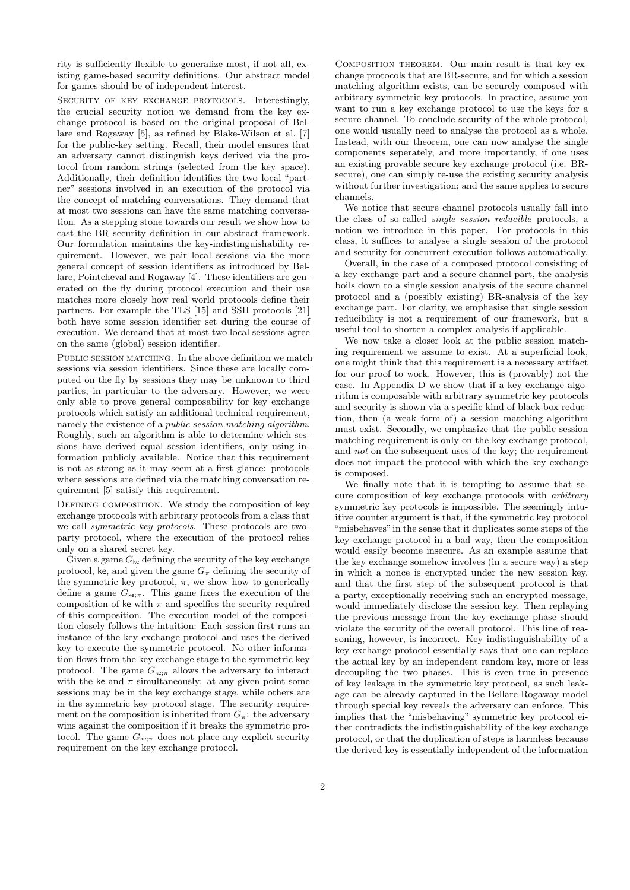rity is sufficiently flexible to generalize most, if not all, existing game-based security definitions. Our abstract model for games should be of independent interest.

SECURITY OF KEY EXCHANGE PROTOCOLS. Interestingly, the crucial security notion we demand from the key exchange protocol is based on the original proposal of Bellare and Rogaway [5], as refined by Blake-Wilson et al. [7] for the public-key setting. Recall, their model ensures that an adversary cannot distinguish keys derived via the protocol from random strings (selected from the key space). Additionally, their definition identifies the two local "partner" sessions involved in an execution of the protocol via the concept of matching conversations. They demand that at most two sessions can have the same matching conversation. As a stepping stone towards our result we show how to cast the BR security definition in our abstract framework. Our formulation maintains the key-indistinguishability requirement. However, we pair local sessions via the more general concept of session identifiers as introduced by Bellare, Pointcheval and Rogaway [4]. These identifiers are generated on the fly during protocol execution and their use matches more closely how real world protocols define their partners. For example the TLS [15] and SSH protocols [21] both have some session identifier set during the course of execution. We demand that at most two local sessions agree on the same (global) session identifier.

PUBLIC SESSION MATCHING. In the above definition we match sessions via session identifiers. Since these are locally computed on the fly by sessions they may be unknown to third parties, in particular to the adversary. However, we were only able to prove general composability for key exchange protocols which satisfy an additional technical requirement, namely the existence of a public session matching algorithm. Roughly, such an algorithm is able to determine which sessions have derived equal session identifiers, only using information publicly available. Notice that this requirement is not as strong as it may seem at a first glance: protocols where sessions are defined via the matching conversation requirement [5] satisfy this requirement.

DEFINING COMPOSITION. We study the composition of key exchange protocols with arbitrary protocols from a class that we call symmetric key protocols. These protocols are twoparty protocol, where the execution of the protocol relies only on a shared secret key.

Given a game  $G_{\text{ke}}$  defining the security of the key exchange protocol, ke, and given the game  $G_{\pi}$  defining the security of the symmetric key protocol,  $\pi$ , we show how to generically define a game  $G_{\text{ke}:\pi}$ . This game fixes the execution of the composition of ke with  $\pi$  and specifies the security required of this composition. The execution model of the composition closely follows the intuition: Each session first runs an instance of the key exchange protocol and uses the derived key to execute the symmetric protocol. No other information flows from the key exchange stage to the symmetric key protocol. The game  $G_{\text{ke}:\pi}$  allows the adversary to interact with the ke and  $\pi$  simultaneously: at any given point some sessions may be in the key exchange stage, while others are in the symmetric key protocol stage. The security requirement on the composition is inherited from  $G_{\pi}$ : the adversary wins against the composition if it breaks the symmetric protocol. The game  $G_{\text{ke}:\pi}$  does not place any explicit security requirement on the key exchange protocol.

Composition theorem. Our main result is that key exchange protocols that are BR-secure, and for which a session matching algorithm exists, can be securely composed with arbitrary symmetric key protocols. In practice, assume you want to run a key exchange protocol to use the keys for a secure channel. To conclude security of the whole protocol, one would usually need to analyse the protocol as a whole. Instead, with our theorem, one can now analyse the single components seperately, and more importantly, if one uses an existing provable secure key exchange protocol (i.e. BRsecure), one can simply re-use the existing security analysis without further investigation; and the same applies to secure channels.

We notice that secure channel protocols usually fall into the class of so-called single session reducible protocols, a notion we introduce in this paper. For protocols in this class, it suffices to analyse a single session of the protocol and security for concurrent execution follows automatically.

Overall, in the case of a composed protocol consisting of a key exchange part and a secure channel part, the analysis boils down to a single session analysis of the secure channel protocol and a (possibly existing) BR-analysis of the key exchange part. For clarity, we emphasise that single session reducibility is not a requirement of our framework, but a useful tool to shorten a complex analysis if applicable.

We now take a closer look at the public session matching requirement we assume to exist. At a superficial look, one might think that this requirement is a necessary artifact for our proof to work. However, this is (provably) not the case. In Appendix D we show that if a key exchange algorithm is composable with arbitrary symmetric key protocols and security is shown via a specific kind of black-box reduction, then (a weak form of) a session matching algorithm must exist. Secondly, we emphasize that the public session matching requirement is only on the key exchange protocol, and not on the subsequent uses of the key; the requirement does not impact the protocol with which the key exchange is composed.

We finally note that it is tempting to assume that secure composition of key exchange protocols with arbitrary symmetric key protocols is impossible. The seemingly intuitive counter argument is that, if the symmetric key protocol "misbehaves"in the sense that it duplicates some steps of the key exchange protocol in a bad way, then the composition would easily become insecure. As an example assume that the key exchange somehow involves (in a secure way) a step in which a nonce is encrypted under the new session key, and that the first step of the subsequent protocol is that a party, exceptionally receiving such an encrypted message, would immediately disclose the session key. Then replaying the previous message from the key exchange phase should violate the security of the overall protocol. This line of reasoning, however, is incorrect. Key indistinguishability of a key exchange protocol essentially says that one can replace the actual key by an independent random key, more or less decoupling the two phases. This is even true in presence of key leakage in the symmetric key protocol, as such leakage can be already captured in the Bellare-Rogaway model through special key reveals the adversary can enforce. This implies that the "misbehaving" symmetric key protocol either contradicts the indistinguishability of the key exchange protocol, or that the duplication of steps is harmless because the derived key is essentially independent of the information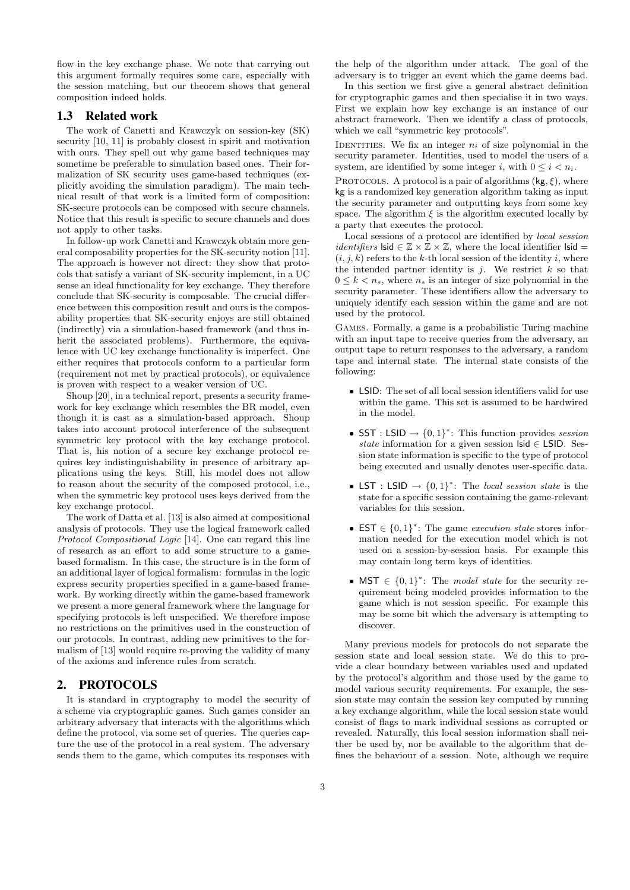flow in the key exchange phase. We note that carrying out this argument formally requires some care, especially with the session matching, but our theorem shows that general composition indeed holds.

### 1.3 Related work

The work of Canetti and Krawczyk on session-key (SK) security  $[10, 11]$  is probably closest in spirit and motivation with ours. They spell out why game based techniques may sometime be preferable to simulation based ones. Their formalization of SK security uses game-based techniques (explicitly avoiding the simulation paradigm). The main technical result of that work is a limited form of composition: SK-secure protocols can be composed with secure channels. Notice that this result is specific to secure channels and does not apply to other tasks.

In follow-up work Canetti and Krawczyk obtain more general composability properties for the SK-security notion [11]. The approach is however not direct: they show that protocols that satisfy a variant of SK-security implement, in a UC sense an ideal functionality for key exchange. They therefore conclude that SK-security is composable. The crucial difference between this composition result and ours is the composability properties that SK-security enjoys are still obtained (indirectly) via a simulation-based framework (and thus inherit the associated problems). Furthermore, the equivalence with UC key exchange functionality is imperfect. One either requires that protocols conform to a particular form (requirement not met by practical protocols), or equivalence is proven with respect to a weaker version of UC.

Shoup [20], in a technical report, presents a security framework for key exchange which resembles the BR model, even though it is cast as a simulation-based approach. Shoup takes into account protocol interference of the subsequent symmetric key protocol with the key exchange protocol. That is, his notion of a secure key exchange protocol requires key indistinguishability in presence of arbitrary applications using the keys. Still, his model does not allow to reason about the security of the composed protocol, i.e., when the symmetric key protocol uses keys derived from the key exchange protocol.

The work of Datta et al. [13] is also aimed at compositional analysis of protocols. They use the logical framework called Protocol Compositional Logic [14]. One can regard this line of research as an effort to add some structure to a gamebased formalism. In this case, the structure is in the form of an additional layer of logical formalism: formulas in the logic express security properties specified in a game-based framework. By working directly within the game-based framework we present a more general framework where the language for specifying protocols is left unspecified. We therefore impose no restrictions on the primitives used in the construction of our protocols. In contrast, adding new primitives to the formalism of [13] would require re-proving the validity of many of the axioms and inference rules from scratch.

### 2. PROTOCOLS

It is standard in cryptography to model the security of a scheme via cryptographic games. Such games consider an arbitrary adversary that interacts with the algorithms which define the protocol, via some set of queries. The queries capture the use of the protocol in a real system. The adversary sends them to the game, which computes its responses with

the help of the algorithm under attack. The goal of the adversary is to trigger an event which the game deems bad.

In this section we first give a general abstract definition for cryptographic games and then specialise it in two ways. First we explain how key exchange is an instance of our abstract framework. Then we identify a class of protocols, which we call "symmetric key protocols".

IDENTITIES. We fix an integer  $n_i$  of size polynomial in the security parameter. Identities, used to model the users of a system, are identified by some integer i, with  $0 \leq i \leq n_i$ .

PROTOCOLS. A protocol is a pair of algorithms  $(kg, \xi)$ , where kg is a randomized key generation algorithm taking as input the security parameter and outputting keys from some key space. The algorithm  $\xi$  is the algorithm executed locally by a party that executes the protocol.

Local sessions of a protocol are identified by local session *identifiers* lsid  $\in \mathbb{Z} \times \mathbb{Z} \times \mathbb{Z}$ , where the local identifier lsid =  $(i, j, k)$  refers to the k-th local session of the identity i, where the intended partner identity is  $j$ . We restrict  $k$  so that  $0 \leq k \leq n_s$ , where  $n_s$  is an integer of size polynomial in the security parameter. These identifiers allow the adversary to uniquely identify each session within the game and are not used by the protocol.

Games. Formally, a game is a probabilistic Turing machine with an input tape to receive queries from the adversary, an output tape to return responses to the adversary, a random tape and internal state. The internal state consists of the following:

- LSID: The set of all local session identifiers valid for use within the game. This set is assumed to be hardwired in the model.
- SST : LSID  $\rightarrow$   $\{0,1\}^*$ : This function provides session state information for a given session  $\textsf{Isid} \in \textsf{LSID}$ . Session state information is specific to the type of protocol being executed and usually denotes user-specific data.
- LST : LSID  $\rightarrow$  {0,1}<sup>\*</sup>: The *local session state* is the state for a specific session containing the game-relevant variables for this session.
- **EST**  $\in \{0, 1\}^*$ : The game *execution state* stores information needed for the execution model which is not used on a session-by-session basis. For example this may contain long term keys of identities.
- MST  $\in \{0,1\}^*$ : The model state for the security requirement being modeled provides information to the game which is not session specific. For example this may be some bit which the adversary is attempting to discover.

Many previous models for protocols do not separate the session state and local session state. We do this to provide a clear boundary between variables used and updated by the protocol's algorithm and those used by the game to model various security requirements. For example, the session state may contain the session key computed by running a key exchange algorithm, while the local session state would consist of flags to mark individual sessions as corrupted or revealed. Naturally, this local session information shall neither be used by, nor be available to the algorithm that defines the behaviour of a session. Note, although we require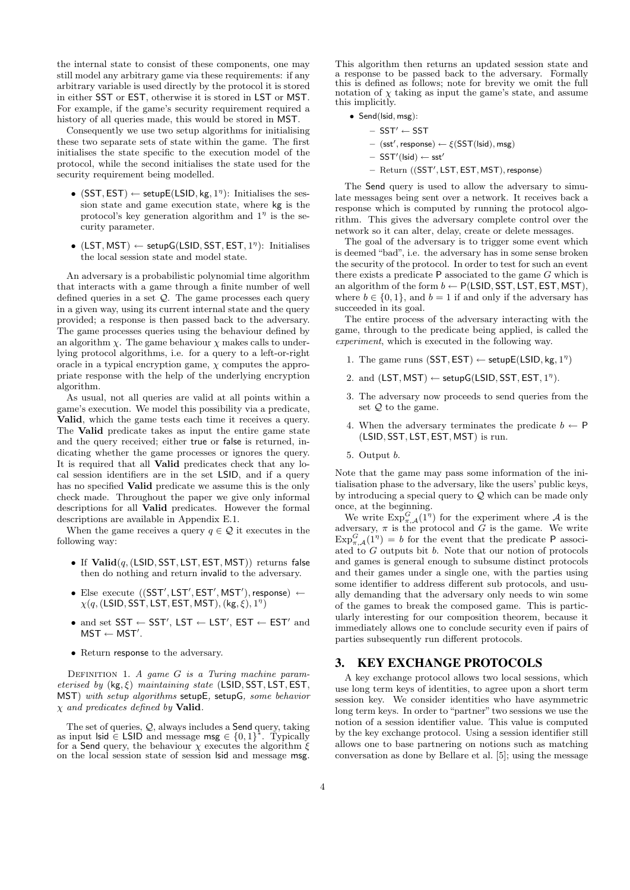the internal state to consist of these components, one may still model any arbitrary game via these requirements: if any arbitrary variable is used directly by the protocol it is stored in either SST or EST, otherwise it is stored in LST or MST. For example, if the game's security requirement required a history of all queries made, this would be stored in MST.

Consequently we use two setup algorithms for initialising these two separate sets of state within the game. The first initialises the state specific to the execution model of the protocol, while the second initialises the state used for the security requirement being modelled.

- (SST, EST)  $\leftarrow$  setupE(LSID, kg, 1<sup> $\eta$ </sup>): Initialises the session state and game execution state, where kg is the protocol's key generation algorithm and  $1<sup>\eta</sup>$  is the security parameter.
- $(LST, MST) \leftarrow setupG(LSID, SST, EST, 1<sup>7</sup>)$ : Initialises the local session state and model state.

An adversary is a probabilistic polynomial time algorithm that interacts with a game through a finite number of well defined queries in a set  $Q$ . The game processes each query in a given way, using its current internal state and the query provided; a response is then passed back to the adversary. The game processes queries using the behaviour defined by an algorithm  $\chi$ . The game behaviour  $\chi$  makes calls to underlying protocol algorithms, i.e. for a query to a left-or-right oracle in a typical encryption game,  $\chi$  computes the appropriate response with the help of the underlying encryption algorithm.

As usual, not all queries are valid at all points within a game's execution. We model this possibility via a predicate, Valid, which the game tests each time it receives a query. The Valid predicate takes as input the entire game state and the query received; either true or false is returned, indicating whether the game processes or ignores the query. It is required that all Valid predicates check that any local session identifiers are in the set LSID, and if a query has no specified Valid predicate we assume this is the only check made. Throughout the paper we give only informal descriptions for all Valid predicates. However the formal descriptions are available in Appendix E.1.

When the game receives a query  $q \in \mathcal{Q}$  it executes in the following way:

- If  $\text{Valid}(q, (\text{LSID}, \text{SST}, \text{LST}, \text{EST}, \text{MST}))$  returns false then do nothing and return invalid to the adversary.
- Else execute  $((SST', LST', EST', MST'),$ response) ←  $\chi(q,(\mathsf{LSID},\mathsf{SST},\mathsf{LST},\mathsf{EST},\mathsf{MST}),(\mathsf{kg},\xi),1^\eta)$
- and set  $SST \leftarrow SST'$ , LST  $\leftarrow$  LST', EST  $\leftarrow$  EST' and  $MST \leftarrow MST'.$
- Return response to the adversary.

DEFINITION 1. A game  $G$  is a Turing machine parameterised by  $(kg, \xi)$  maintaining state (LSID, SST, LST, EST, MST) with setup algorithms setupE, setupG, some behavior  $\chi$  and predicates defined by **Valid**.

The set of queries, Q, always includes a Send query, taking as input lsid  $\in$  LSID and message msg  $\in \{0,1\}^*$ . Typically for a Send query, the behaviour  $\chi$  executes the algorithm  $\xi$ on the local session state of session lsid and message msg.

This algorithm then returns an updated session state and a response to be passed back to the adversary. Formally this is defined as follows; note for brevity we omit the full notation of  $\chi$  taking as input the game's state, and assume this implicitly.

- Send(Isid, msg):
	- $-$  SST'  $\leftarrow$  SST
	- $-$  (sst', response)  $\leftarrow \xi$ (SST(lsid), msg)
	- $-$  SST'(Isid)  $\leftarrow$  sst'
	- Return ((SST', LST, EST, MST), response)

The Send query is used to allow the adversary to simulate messages being sent over a network. It receives back a response which is computed by running the protocol algorithm. This gives the adversary complete control over the network so it can alter, delay, create or delete messages.

The goal of the adversary is to trigger some event which is deemed "bad", i.e. the adversary has in some sense broken the security of the protocol. In order to test for such an event there exists a predicate  $P$  associated to the game  $G$  which is an algorithm of the form  $b \leftarrow P(\textsf{LSID},\textsf{SST},\textsf{LST},\textsf{EST},\textsf{MST}),$ where  $b \in \{0, 1\}$ , and  $b = 1$  if and only if the adversary has succeeded in its goal.

The entire process of the adversary interacting with the game, through to the predicate being applied, is called the experiment, which is executed in the following way.

- 1. The game runs  $(SST, EST) \leftarrow \mathsf{setupE}(LSID, kg, 1^\eta)$
- 2. and  $(LST, MST) \leftarrow \mathsf{setupG}(LSID, SST, EST, 1<sup>n</sup>).$
- 3. The adversary now proceeds to send queries from the set  $Q$  to the game.
- 4. When the adversary terminates the predicate  $b \leftarrow P$ (LSID, SST, LST, EST, MST) is run.
- 5. Output b.

Note that the game may pass some information of the initialisation phase to the adversary, like the users' public keys, by introducing a special query to  $\mathcal{Q}$  which can be made only once, at the beginning.

We write  $\mathrm{Exp}_{\pi,\mathcal{A}}^G(1^\eta)$  for the experiment where  $\mathcal{A}$  is the adversary,  $\pi$  is the protocol and G is the game. We write  $Exp_{\pi,\mathcal{A}}^G(1^{\eta}) = b$  for the event that the predicate P associated to G outputs bit b. Note that our notion of protocols and games is general enough to subsume distinct protocols and their games under a single one, with the parties using some identifier to address different sub protocols, and usually demanding that the adversary only needs to win some of the games to break the composed game. This is particularly interesting for our composition theorem, because it immediately allows one to conclude security even if pairs of parties subsequently run different protocols.

### 3. KEY EXCHANGE PROTOCOLS

A key exchange protocol allows two local sessions, which use long term keys of identities, to agree upon a short term session key. We consider identities who have asymmetric long term keys. In order to "partner" two sessions we use the notion of a session identifier value. This value is computed by the key exchange protocol. Using a session identifier still allows one to base partnering on notions such as matching conversation as done by Bellare et al. [5]; using the message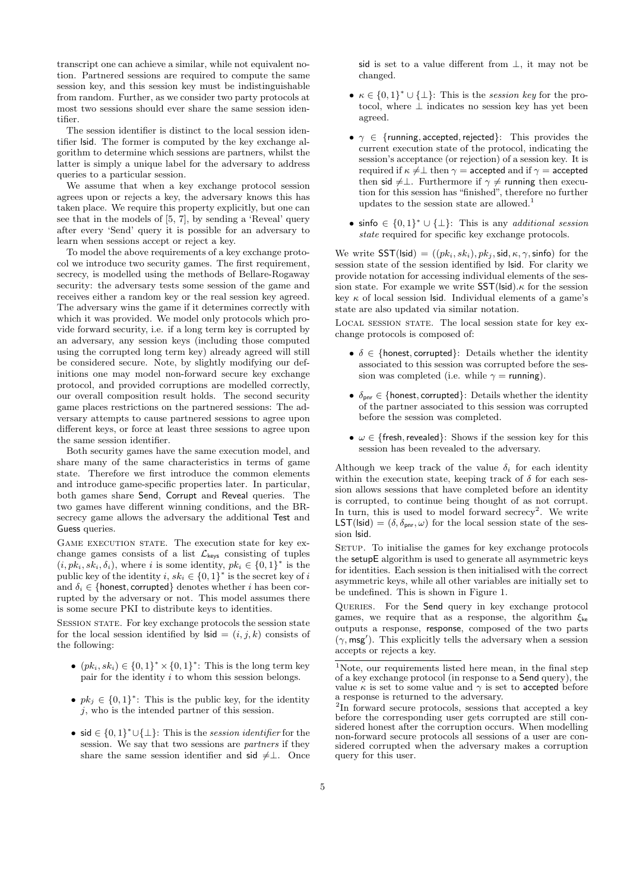transcript one can achieve a similar, while not equivalent notion. Partnered sessions are required to compute the same session key, and this session key must be indistinguishable from random. Further, as we consider two party protocols at most two sessions should ever share the same session identifier.

The session identifier is distinct to the local session identifier lsid. The former is computed by the key exchange algorithm to determine which sessions are partners, whilst the latter is simply a unique label for the adversary to address queries to a particular session.

We assume that when a key exchange protocol session agrees upon or rejects a key, the adversary knows this has taken place. We require this property explicitly, but one can see that in the models of [5, 7], by sending a 'Reveal' query after every 'Send' query it is possible for an adversary to learn when sessions accept or reject a key.

To model the above requirements of a key exchange protocol we introduce two security games. The first requirement, secrecy, is modelled using the methods of Bellare-Rogaway security: the adversary tests some session of the game and receives either a random key or the real session key agreed. The adversary wins the game if it determines correctly with which it was provided. We model only protocols which provide forward security, i.e. if a long term key is corrupted by an adversary, any session keys (including those computed using the corrupted long term key) already agreed will still be considered secure. Note, by slightly modifying our definitions one may model non-forward secure key exchange protocol, and provided corruptions are modelled correctly, our overall composition result holds. The second security game places restrictions on the partnered sessions: The adversary attempts to cause partnered sessions to agree upon different keys, or force at least three sessions to agree upon the same session identifier.

Both security games have the same execution model, and share many of the same characteristics in terms of game state. Therefore we first introduce the common elements and introduce game-specific properties later. In particular, both games share Send, Corrupt and Reveal queries. The two games have different winning conditions, and the BRsecrecy game allows the adversary the additional Test and Guess queries.

GAME EXECUTION STATE. The execution state for key exchange games consists of a list  $\mathcal{L}_{\text{keys}}$  consisting of tuples  $(i, pk_i, sk_i, \delta_i)$ , where i is some identity,  $pk_i \in \{0, 1\}^*$  is the public key of the identity  $i, sk_i \in \{0, 1\}^*$  is the secret key of i and  $\delta_i \in \{\text{honest}, \text{corrupted}\}\$  denotes whether i has been corrupted by the adversary or not. This model assumes there is some secure PKI to distribute keys to identities.

Session state. For key exchange protocols the session state for the local session identified by  $\textsf{lsid} = (i, j, k)$  consists of the following:

- $(pk_i, sk_i) \in \{0, 1\}^* \times \{0, 1\}^*$ : This is the long term key pair for the identity  $i$  to whom this session belongs.
- $pk_j \in \{0,1\}^*$ : This is the public key, for the identity  $j$ , who is the intended partner of this session.
- sid  $\in \{0,1\}^* \cup \{\perp\}$ : This is the session identifier for the session. We say that two sessions are partners if they share the same session identifier and sid  $\neq \perp$ . Once

sid is set to a value different from ⊥, it may not be changed.

- $\kappa \in \{0,1\}^* \cup \{\perp\}$ : This is the session key for the protocol, where  $\perp$  indicates no session key has yet been agreed.
- $\gamma \in \{$ running, accepted, rejected $\}$ : This provides the current execution state of the protocol, indicating the session's acceptance (or rejection) of a session key. It is required if  $\kappa \neq \perp$  then  $\gamma =$  accepted and if  $\gamma =$  accepted then sid  $\neq \perp$ . Furthermore if  $\gamma \neq$  running then execution for this session has "finished", therefore no further updates to the session state are allowed.<sup>1</sup>
- sinfo  $\in \{0,1\}^* \cup \{\perp\}$ : This is any *additional session* state required for specific key exchange protocols.

We write  $SST($ lsid) =  $((pk_i, sk_i), pk_j,$  sid,  $\kappa, \gamma$ , sinfo) for the session state of the session identified by lsid. For clarity we provide notation for accessing individual elements of the session state. For example we write  $SST($ lsid). $\kappa$  for the session key  $\kappa$  of local session lsid. Individual elements of a game's state are also updated via similar notation.

Local session state. The local session state for key exchange protocols is composed of:

- $\delta \in \{\text{honest}, \text{corrupted}\}\colon$  Details whether the identity associated to this session was corrupted before the session was completed (i.e. while  $\gamma = \text{running}$ ).
- $\delta_{\text{pnr}} \in \{\text{honest}, \text{corrupted}\}\colon \text{Details whether the identity}\$ of the partner associated to this session was corrupted before the session was completed.
- $\omega \in \{\text{fresh}, \text{revealed}\}\$ : Shows if the session key for this session has been revealed to the adversary.

Although we keep track of the value  $\delta_i$  for each identity within the execution state, keeping track of  $\delta$  for each session allows sessions that have completed before an identity is corrupted, to continue being thought of as not corrupt. In turn, this is used to model forward secrecy<sup>2</sup>. We write LST(lsid) =  $(\delta, \delta_{\text{pnr}}, \omega)$  for the local session state of the session lsid.

SETUP. To initialise the games for key exchange protocols the setupE algorithm is used to generate all asymmetric keys for identities. Each session is then initialised with the correct asymmetric keys, while all other variables are initially set to be undefined. This is shown in Figure 1.

QUERIES. For the Send query in key exchange protocol games, we require that as a response, the algorithm  $\xi_{\text{ke}}$ outputs a response, response, composed of the two parts  $(\gamma, \text{msg}')$ . This explicitly tells the adversary when a session accepts or rejects a key.

<sup>&</sup>lt;sup>1</sup>Note, our requirements listed here mean, in the final step of a key exchange protocol (in response to a Send query), the value  $\kappa$  is set to some value and  $\gamma$  is set to accepted before a response is returned to the adversary.

<sup>&</sup>lt;sup>2</sup>In forward secure protocols, sessions that accepted a key before the corresponding user gets corrupted are still considered honest after the corruption occurs. When modelling non-forward secure protocols all sessions of a user are considered corrupted when the adversary makes a corruption query for this user.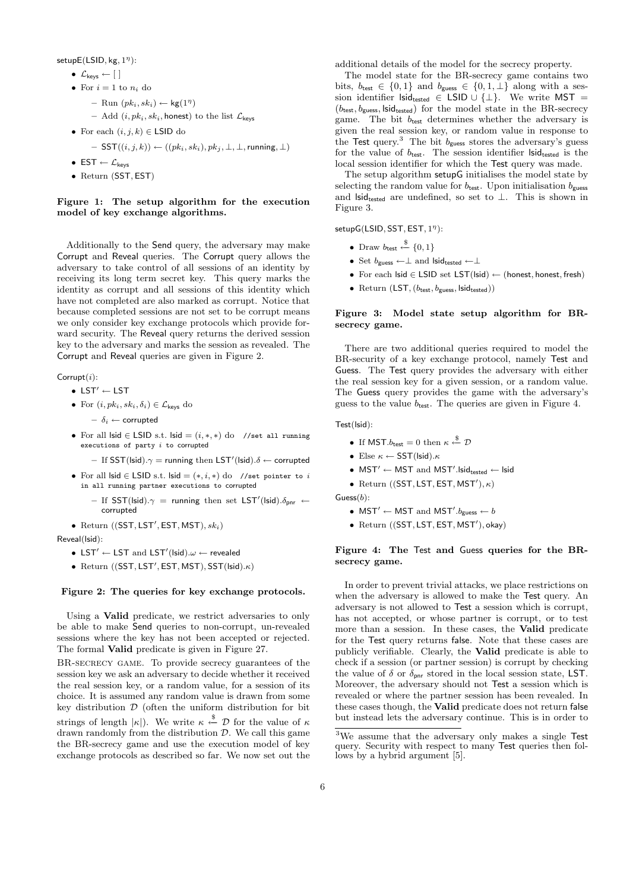$setupE(LSID, kg, 1<sup>*η*</sup>)$ :

- $\mathcal{L}_{\text{keys}} \leftarrow [$
- For  $i = 1$  to  $n_i$  do

– Run  $(pk_i, sk_i) \leftarrow \mathsf{kg}(1^\eta)$ 

– Add  $(i, pk<sub>i</sub>, sk<sub>i</sub>$ , honest) to the list  $\mathcal{L}_{\text{kevs}}$ 

• For each  $(i, j, k) \in \textsf{LSID}$  do

$$
- \;\; \textsf{SST}((i,j,k)) \leftarrow ((pk_i, sk_i), pk_j, \bot, \bot, \textsf{running}, \bot)
$$

- EST  $\leftarrow$   $\mathcal{L}_{\text{keys}}$
- Return (SST, EST)

#### Figure 1: The setup algorithm for the execution model of key exchange algorithms.

Additionally to the Send query, the adversary may make Corrupt and Reveal queries. The Corrupt query allows the adversary to take control of all sessions of an identity by receiving its long term secret key. This query marks the identity as corrupt and all sessions of this identity which have not completed are also marked as corrupt. Notice that because completed sessions are not set to be corrupt means we only consider key exchange protocols which provide forward security. The Reveal query returns the derived session key to the adversary and marks the session as revealed. The Corrupt and Reveal queries are given in Figure 2.

#### $Corrupt(i)$ :

- LST' $\leftarrow$  LST
- For  $(i, pk_i, sk_i, \delta_i) \in \mathcal{L}_{\text{keys}}$  do
	- $\delta_i \leftarrow$  corrupted
- For all lsid  $\in$  LSID s.t. lsid =  $(i, *, *)$  do //set all running executions of party  $i$  to corrupted
	- If SST(lsid). $\gamma$  = running then LST'(lsid). $\delta \leftarrow$  corrupted
- For all lsid  $\in$  LSID s.t. lsid =  $(*, i, *)$  do //set pointer to i in all running partner executions to corrupted
	- $-$  If SST(lsid).γ = running then set LST'(lsid).δ<sub>pnr</sub> ← corrupted
- Return  $((SST, \text{LST}', \text{EST}, \text{MST}), sk_i)$

Reveal(lsid):

- LST'  $\leftarrow$  LST and LST'(lsid). $\omega \leftarrow$  revealed
- Return  $((SST, LST', EST, MST), SST(Isid).κ)$

#### Figure 2: The queries for key exchange protocols.

Using a Valid predicate, we restrict adversaries to only be able to make Send queries to non-corrupt, un-revealed sessions where the key has not been accepted or rejected. The formal Valid predicate is given in Figure 27.

BR-secrecy game. To provide secrecy guarantees of the session key we ask an adversary to decide whether it received the real session key, or a random value, for a session of its choice. It is assumed any random value is drawn from some key distribution  $D$  (often the uniform distribution for bit strings of length  $|\kappa|$ ). We write  $\kappa \stackrel{\$}{\leftarrow} \mathcal{D}$  for the value of  $\kappa$ drawn randomly from the distribution  $D$ . We call this game the BR-secrecy game and use the execution model of key exchange protocols as described so far. We now set out the

additional details of the model for the secrecy property.

The model state for the BR-secrecy game contains two bits,  $b_{\text{test}} \in \{0, 1\}$  and  $b_{\text{guess}} \in \{0, 1, \perp\}$  along with a session identifier lsid<sub>tested</sub> ∈ LSID ∪ { $\perp$ }. We write MST =  $(b_{\text{test}}, b_{\text{guess}}, \text{Isid}_{\text{tested}})$  for the model state in the BR-secrecy game. The bit  $b_{test}$  determines whether the adversary is given the real session key, or random value in response to the Test query.<sup>3</sup> The bit  $b_{\text{guess}}$  stores the adversary's guess for the value of  $b_{\text{test}}$ . The session identifier  $\text{lsid}_{\text{tested}}$  is the local session identifier for which the Test query was made.

The setup algorithm setupG initialises the model state by selecting the random value for  $b_{\text{test}}$ . Upon initialisation  $b_{\text{guess}}$ and lsid<sub>tested</sub> are undefined, so set to  $\bot$ . This is shown in Figure 3.

 $setupG(LSID, SST, EST, 17)$ :

- Draw  $b_{\text{test}} \stackrel{\$}{\leftarrow} \{0,1\}$
- Set  $b_{\text{guess}} \leftarrow \perp$  and lsid<sub>tested</sub>  $\leftarrow \perp$
- For each lsid ∈ LSID set LST(lsid) ← (honest, honest, fresh)
- Return  $(LST, (b_{\text{test}}, b_{\text{guess}}, \text{Isid}_{\text{tested}}))$

#### Figure 3: Model state setup algorithm for BRsecrecy game.

There are two additional queries required to model the BR-security of a key exchange protocol, namely Test and Guess. The Test query provides the adversary with either the real session key for a given session, or a random value. The Guess query provides the game with the adversary's guess to the value  $b_{\text{test}}$ . The queries are given in Figure 4.

Test(lsid):

- If MST. $b_{\text{test}} = 0$  then  $\kappa \stackrel{\$}{\leftarrow} \mathcal{D}$
- Else  $\kappa \leftarrow \text{SST}(\text{Isid}).\kappa$
- MST'  $\leftarrow$  MST and MST'.lsid<sub>tested</sub>  $\leftarrow$  lsid
- Return  $((SST, LST, EST, MST', \kappa))$

 $\textsf{Guess}(b)$ :

- MST'  $\leftarrow$  MST and MST'. $b_{\text{guess}} \leftarrow b$
- $\bullet$  Return  $((SST, LST, EST, MST'), \text{okay})$

#### Figure 4: The Test and Guess queries for the BRsecrecy game.

In order to prevent trivial attacks, we place restrictions on when the adversary is allowed to make the Test query. An adversary is not allowed to Test a session which is corrupt, has not accepted, or whose partner is corrupt, or to test more than a session. In these cases, the Valid predicate for the Test query returns false. Note that these cases are publicly verifiable. Clearly, the Valid predicate is able to check if a session (or partner session) is corrupt by checking the value of  $\delta$  or  $\delta_{\text{pnr}}$  stored in the local session state, LST. Moreover, the adversary should not Test a session which is revealed or where the partner session has been revealed. In these cases though, the Valid predicate does not return false but instead lets the adversary continue. This is in order to

<sup>3</sup>We assume that the adversary only makes a single Test query. Security with respect to many Test queries then follows by a hybrid argument [5].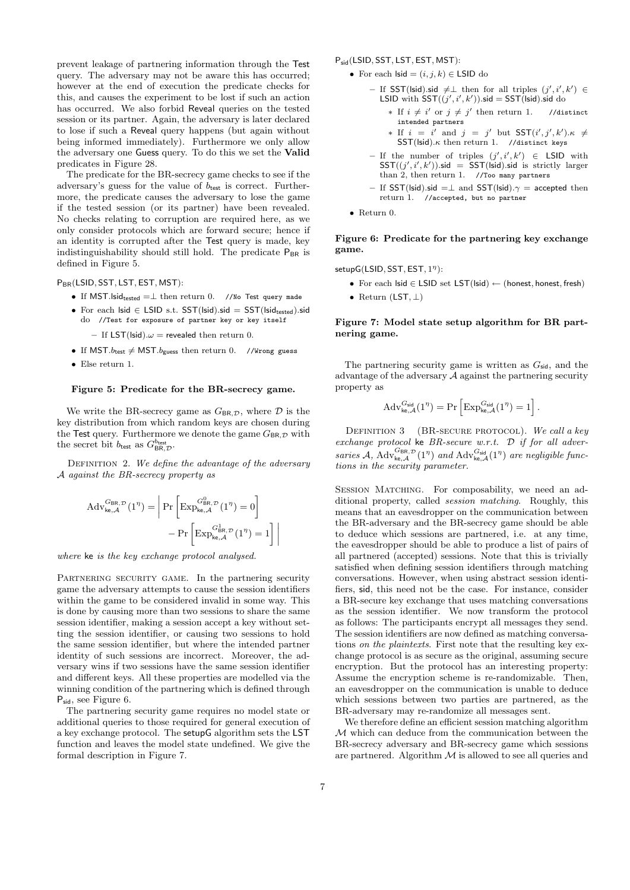prevent leakage of partnering information through the Test query. The adversary may not be aware this has occurred; however at the end of execution the predicate checks for this, and causes the experiment to be lost if such an action has occurred. We also forbid Reveal queries on the tested session or its partner. Again, the adversary is later declared to lose if such a Reveal query happens (but again without being informed immediately). Furthermore we only allow the adversary one Guess query. To do this we set the Valid predicates in Figure 28.

The predicate for the BR-secrecy game checks to see if the adversary's guess for the value of  $b_{\text{test}}$  is correct. Furthermore, the predicate causes the adversary to lose the game if the tested session (or its partner) have been revealed. No checks relating to corruption are required here, as we only consider protocols which are forward secure; hence if an identity is corrupted after the Test query is made, key indistinguishability should still hold. The predicate  $P_{BR}$  is defined in Figure 5.

P<sub>BR</sub>(LSID, SST, LST, EST, MST):

- If MST.lsid<sub>tested</sub>  $=$   $\perp$  then return 0. //No Test query made
- For each lsid  $\in$  LSID s.t. SST(lsid).sid = SST(lsid<sub>tested</sub>).sid do //Test for exposure of partner key or key itself
	- If LST(lsid). $\omega$  = revealed then return 0.
- If  $\text{MST}.b_{\text{test}} \neq \text{MST}.b_{\text{guess}}$  then return 0. //Wrong guess
- Else return 1.

#### Figure 5: Predicate for the BR-secrecy game.

We write the BR-secrecy game as  $G_{BR,D}$ , where  $D$  is the key distribution from which random keys are chosen during the Test query. Furthermore we denote the game  $G_{BR,D}$  with the secret bit  $b_{\text{test}}$  as  $G_{\text{BR},\mathcal{D}}^{b_{\text{test}}}$ .

DEFINITION 2. We define the advantage of the adversary A against the BR-secrecy property as

$$
\begin{aligned} \mathrm{Adv}_{\mathsf{ke},\mathcal{A}}^{G_{\mathsf{BR},\mathcal{D}}}(1^\eta)=&\left|\Pr\left[\mathrm{Exp}_{\mathsf{ke},\mathcal{A}}^{G_{\mathsf{BR},\mathcal{D}}^{0}}(1^\eta)=0\right]\right.\\&\left.-\Pr\left[\mathrm{Exp}_{\mathsf{ke},\mathcal{A}}^{G_{\mathsf{BR},\mathcal{D}}^{1}}(1^\eta)=1\right]\right| \end{aligned}
$$

where ke is the key exchange protocol analysed.

PARTNERING SECURITY GAME. In the partnering security game the adversary attempts to cause the session identifiers within the game to be considered invalid in some way. This is done by causing more than two sessions to share the same session identifier, making a session accept a key without setting the session identifier, or causing two sessions to hold the same session identifier, but where the intended partner identity of such sessions are incorrect. Moreover, the adversary wins if two sessions have the same session identifier and different keys. All these properties are modelled via the winning condition of the partnering which is defined through Psid, see Figure 6.

The partnering security game requires no model state or additional queries to those required for general execution of a key exchange protocol. The setupG algorithm sets the LST function and leaves the model state undefined. We give the formal description in Figure 7.

Psid(LSID, SST, LST, EST, MST):

- For each  $\textsf{Isid} = (i, j, k) \in \textsf{LSID}$  do
	- If SST(lsid).sid  $\neq \perp$  then for all triples  $(j', i', k') \in$ LSID with  $SST((j', i', k'))$  sid = SST(lsid).sid do
		- $\ast$  If  $i \neq i'$  or  $j \neq j'$  then return 1. //distinct intended partners
		- \* If  $i = i'$  and  $j = j'$  but  $SST(i', j', k')$ . $\kappa \neq$  $SST($ lsid). $\kappa$  then return 1. //distinct keys
	- If the number of triples  $(j', i', k') \in \text{LSID with}$  $SST((j', i', k'))$ .sid = SST(lsid).sid is strictly larger than 2, then return 1. //Too many partners
	- If SST(lsid).sid = $\perp$  and SST(lsid). $\gamma$  = accepted then return 1. //accepted, but no partner
- Return 0.

#### Figure 6: Predicate for the partnering key exchange game.

 $setupG(LSID, SST, EST, 17)$ :

- For each lsid ∈ LSID set LST(lsid) ← (honest, honest, fresh)
- Return (LST, ⊥)

#### Figure 7: Model state setup algorithm for BR partnering game.

The partnering security game is written as  $G_{\text{sid}}$ , and the advantage of the adversary  $A$  against the partnering security property as

$$
\mathrm{Adv}_{\mathrm{ke},\mathcal{A}}^{G_{\mathrm{sid}}}(1^\eta)=\Pr\left[\mathrm{Exp}_{\mathrm{ke},\mathcal{A}}^{G_{\mathrm{sid}}}(1^\eta)=1\right].
$$

DEFINITION  $3$  (BR-SECURE PROTOCOL). We call a key exchange protocol ke BR-secure w.r.t. D if for all adversaries A,  $\mathrm{Adv}_{\mathsf{ke},\mathcal{A}}^{G_{\mathsf{BR},\mathcal{D}}}(1^\eta)$  and  $\mathrm{Adv}_{\mathsf{ke},\mathcal{A}}^{G_{\mathsf{sid}}}(1^\eta)$  are negligible functions in the security parameter.

SESSION MATCHING. For composability, we need an additional property, called session matching. Roughly, this means that an eavesdropper on the communication between the BR-adversary and the BR-secrecy game should be able to deduce which sessions are partnered, i.e. at any time, the eavesdropper should be able to produce a list of pairs of all partnered (accepted) sessions. Note that this is trivially satisfied when defining session identifiers through matching conversations. However, when using abstract session identifiers, sid, this need not be the case. For instance, consider a BR-secure key exchange that uses matching conversations as the session identifier. We now transform the protocol as follows: The participants encrypt all messages they send. The session identifiers are now defined as matching conversations on the plaintexts. First note that the resulting key exchange protocol is as secure as the original, assuming secure encryption. But the protocol has an interesting property: Assume the encryption scheme is re-randomizable. Then, an eavesdropper on the communication is unable to deduce which sessions between two parties are partnered, as the BR-adversary may re-randomize all messages sent.

We therefore define an efficient session matching algorithm M which can deduce from the communication between the BR-secrecy adversary and BR-secrecy game which sessions are partnered. Algorithm  $M$  is allowed to see all queries and

 $\bigg|$  $\bigg|$  $\vert$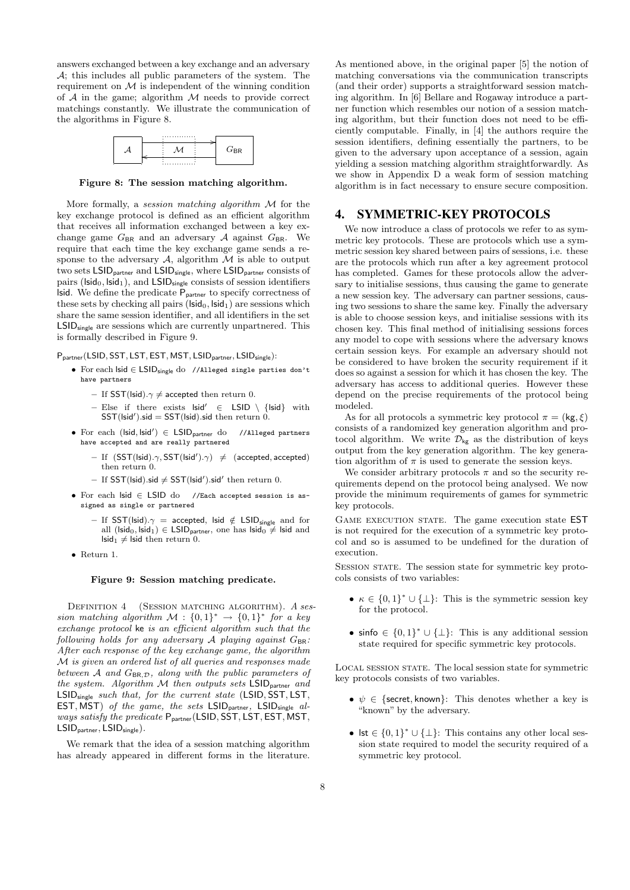answers exchanged between a key exchange and an adversary A; this includes all public parameters of the system. The requirement on  $\mathcal M$  is independent of the winning condition of  $A$  in the game; algorithm  $M$  needs to provide correct matchings constantly. We illustrate the communication of the algorithms in Figure 8.



Figure 8: The session matching algorithm.

More formally, a session matching algorithm M for the key exchange protocol is defined as an efficient algorithm that receives all information exchanged between a key exchange game  $G_{BR}$  and an adversary  $A$  against  $G_{BR}$ . We require that each time the key exchange game sends a response to the adversary  $A$ , algorithm  $M$  is able to output two sets LSID<sub>partner</sub> and LSID<sub>single</sub>, where LSID<sub>partner</sub> consists of pairs ( $\text{lsid}_0, \text{lsid}_1$ ), and  $\text{LSID}_{\text{single}}$  consists of session identifiers lsid. We define the predicate Ppartner to specify correctness of these sets by checking all pairs ( $\textsf{lsid}_0, \textsf{lsid}_1$ ) are sessions which share the same session identifier, and all identifiers in the set LSIDsingle are sessions which are currently unpartnered. This is formally described in Figure 9.

P<sub>partner</sub>(LSID, SST, LST, EST, MST, LSID<sub>partner</sub>, LSID<sub>single</sub>):

- For each lsid ∈ LSIDsingle do //Alleged single parties don't have partners
	- If SST(lsid). $\gamma \neq$  accepted then return 0.
	- Else if there exists lsid<sup>'</sup> ∈ LSID \ {lsid} with  $SST($ lsid').sid = SST(lsid).sid then return 0.
- For each  $(Isid, Isid') \in LSID_{partner}$  do //Alleged partners have accepted and are really partnered
	- $-$  If  $(SST(Isid). \gamma, SST(Isid'). \gamma) \neq (accepted, accepted)$ then return 0.
	- $-$  If SST(lsid).sid  $\neq$  SST(lsid').sid' then return 0.
- For each lsid ∈ LSID do //Each accepted session is assigned as single or partnered
	- If SST(lsid). $\gamma$  = accepted, lsid  $\notin$  LSID<sub>single</sub> and for all (lsid<sub>0</sub>, lsid<sub>1</sub>) ∈ LSID<sub>partner</sub>, one has lsid<sub>0</sub>  $\neq$  lsid and  $\textsf{lsid}_1 \neq \textsf{lsid}$  then return 0.
- Return 1.

#### Figure 9: Session matching predicate.

DEFINITION 4 (SESSION MATCHING ALGORITHM). A session matching algorithm  $\mathcal{M} : \{0,1\}^* \rightarrow \{0,1\}^*$  for a key exchange protocol ke is an efficient algorithm such that the following holds for any adversary  $A$  playing against  $G_{BR}$ : After each response of the key exchange game, the algorithm M is given an ordered list of all queries and responses made between A and  $G_{BR,D}$ , along with the public parameters of the system. Algorithm  $M$  then outputs sets  $LSID_{\text{partner}}$  and LSIDsingle such that, for the current state (LSID, SST, LST, EST, MST) of the game, the sets  $LSID_{\text{partner}}$ ,  $LSID_{\text{single}}$  always satisfy the predicate  $P_{\text{partner}}(LSID, SST, LST, EST, MST,$  $LSID_{\text{partner}}$ ,  $LSID_{\text{single}}$ ).

We remark that the idea of a session matching algorithm has already appeared in different forms in the literature.

As mentioned above, in the original paper [5] the notion of matching conversations via the communication transcripts (and their order) supports a straightforward session matching algorithm. In [6] Bellare and Rogaway introduce a partner function which resembles our notion of a session matching algorithm, but their function does not need to be efficiently computable. Finally, in [4] the authors require the session identifiers, defining essentially the partners, to be given to the adversary upon acceptance of a session, again yielding a session matching algorithm straightforwardly. As we show in Appendix D a weak form of session matching algorithm is in fact necessary to ensure secure composition.

### 4. SYMMETRIC-KEY PROTOCOLS

We now introduce a class of protocols we refer to as symmetric key protocols. These are protocols which use a symmetric session key shared between pairs of sessions, i.e. these are the protocols which run after a key agreement protocol has completed. Games for these protocols allow the adversary to initialise sessions, thus causing the game to generate a new session key. The adversary can partner sessions, causing two sessions to share the same key. Finally the adversary is able to choose session keys, and initialise sessions with its chosen key. This final method of initialising sessions forces any model to cope with sessions where the adversary knows certain session keys. For example an adversary should not be considered to have broken the security requirement if it does so against a session for which it has chosen the key. The adversary has access to additional queries. However these depend on the precise requirements of the protocol being modeled.

As for all protocols a symmetric key protocol  $\pi = (kg, \xi)$ consists of a randomized key generation algorithm and protocol algorithm. We write  $\mathcal{D}_{kg}$  as the distribution of keys output from the key generation algorithm. The key generation algorithm of  $\pi$  is used to generate the session keys.

We consider arbitrary protocols  $\pi$  and so the security requirements depend on the protocol being analysed. We now provide the minimum requirements of games for symmetric key protocols.

GAME EXECUTION STATE. The game execution state EST is not required for the execution of a symmetric key protocol and so is assumed to be undefined for the duration of execution.

Session state. The session state for symmetric key protocols consists of two variables:

- $\kappa \in \{0,1\}^* \cup \{\perp\}$ : This is the symmetric session key for the protocol.
- sinfo  $\in \{0,1\}^* \cup \{\perp\}$ : This is any additional session state required for specific symmetric key protocols.

Local session state. The local session state for symmetric key protocols consists of two variables.

- $\psi \in \{\text{secret}, \text{known}\}$ : This denotes whether a key is "known" by the adversary.
- lst  $\in \{0,1\}^* \cup \{\perp\}$ : This contains any other local session state required to model the security required of a symmetric key protocol.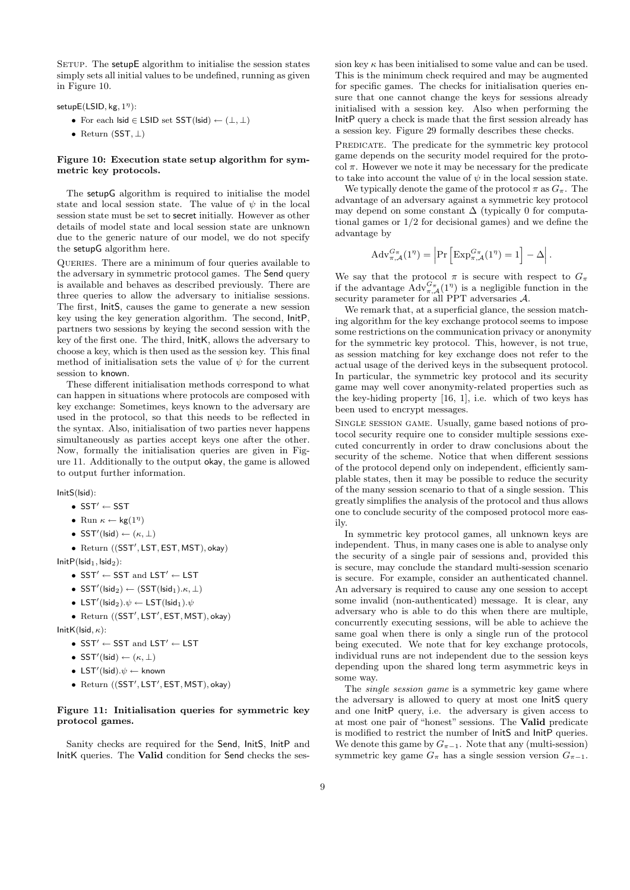SETUP. The setupE algorithm to initialise the session states simply sets all initial values to be undefined, running as given in Figure 10.

 $setupE(LSID, kg, 1<sup>*η*</sup>)$ :

- For each lsid ∈ LSID set SST(lsid) ← (⊥, ⊥)
- Return (SST, ⊥)

#### Figure 10: Execution state setup algorithm for symmetric key protocols.

The setupG algorithm is required to initialise the model state and local session state. The value of  $\psi$  in the local session state must be set to secret initially. However as other details of model state and local session state are unknown due to the generic nature of our model, we do not specify the setupG algorithm here.

Queries. There are a minimum of four queries available to the adversary in symmetric protocol games. The Send query is available and behaves as described previously. There are three queries to allow the adversary to initialise sessions. The first, InitS, causes the game to generate a new session key using the key generation algorithm. The second, InitP, partners two sessions by keying the second session with the key of the first one. The third, InitK, allows the adversary to choose a key, which is then used as the session key. This final method of initialisation sets the value of  $\psi$  for the current session to known.

These different initialisation methods correspond to what can happen in situations where protocols are composed with key exchange: Sometimes, keys known to the adversary are used in the protocol, so that this needs to be reflected in the syntax. Also, initialisation of two parties never happens simultaneously as parties accept keys one after the other. Now, formally the initialisation queries are given in Figure 11. Additionally to the output okay, the game is allowed to output further information.

InitS(lsid):

- $SST' \leftarrow SST$
- Run  $\kappa \leftarrow \text{kg}(1^{\eta})$
- SST'(lsid)  $\leftarrow (\kappa, \perp)$
- $\bullet$  Return  $((SST', LST, EST, MST),$ okay)

 $InitP(Isid<sub>1</sub>, Isid<sub>2</sub>):$ 

- $SST' \leftarrow SST$  and  $LST' \leftarrow LST$
- $SST'(Isid_2) \leftarrow (SST(Isid_1). \kappa, \perp)$
- LST'(lsid<sub>2</sub>). $\psi \leftarrow$  LST(lsid<sub>1</sub>). $\psi$
- $\bullet$  Return  $((SST', LST', EST, MST),$ okay)

 $InitK(Isid, \kappa):$ 

- SST'  $\leftarrow$  SST and LST'  $\leftarrow$  LST
- SST'(lsid)  $\leftarrow (\kappa, \perp)$
- LST'(lsid). $\psi \leftarrow$  known
- $\bullet$  Return  $((SST', LST', EST, MST),$ okay)

#### Figure 11: Initialisation queries for symmetric key protocol games.

Sanity checks are required for the Send, InitS, InitP and InitK queries. The Valid condition for Send checks the ses-

sion key  $\kappa$  has been initialised to some value and can be used. This is the minimum check required and may be augmented for specific games. The checks for initialisation queries ensure that one cannot change the keys for sessions already initialised with a session key. Also when performing the InitP query a check is made that the first session already has a session key. Figure 29 formally describes these checks.

PREDICATE. The predicate for the symmetric key protocol game depends on the security model required for the protocol  $\pi$ . However we note it may be necessary for the predicate to take into account the value of  $\psi$  in the local session state.

We typically denote the game of the protocol  $\pi$  as  $G_{\pi}$ . The advantage of an adversary against a symmetric key protocol may depend on some constant  $\Delta$  (typically 0 for computational games or 1/2 for decisional games) and we define the advantage by

$$
Adv_{\pi,\mathcal{A}}^{G_{\pi}}(1^{\eta}) = \left| \Pr \left[ Exp_{\pi,\mathcal{A}}^{G_{\pi}}(1^{\eta}) = 1 \right] - \Delta \right|.
$$

We say that the protocol  $\pi$  is secure with respect to  $G_{\pi}$ if the advantage  $\text{Adv}_{\pi,\mathcal{A}}^{G_{\pi}}(1^{\eta})$  is a negligible function in the security parameter for all PPT adversaries A.

We remark that, at a superficial glance, the session matching algorithm for the key exchange protocol seems to impose some restrictions on the communication privacy or anonymity for the symmetric key protocol. This, however, is not true, as session matching for key exchange does not refer to the actual usage of the derived keys in the subsequent protocol. In particular, the symmetric key protocol and its security game may well cover anonymity-related properties such as the key-hiding property [16, 1], i.e. which of two keys has been used to encrypt messages.

Single session game. Usually, game based notions of protocol security require one to consider multiple sessions executed concurrently in order to draw conclusions about the security of the scheme. Notice that when different sessions of the protocol depend only on independent, efficiently samplable states, then it may be possible to reduce the security of the many session scenario to that of a single session. This greatly simplifies the analysis of the protocol and thus allows one to conclude security of the composed protocol more easily.

In symmetric key protocol games, all unknown keys are independent. Thus, in many cases one is able to analyse only the security of a single pair of sessions and, provided this is secure, may conclude the standard multi-session scenario is secure. For example, consider an authenticated channel. An adversary is required to cause any one session to accept some invalid (non-authenticated) message. It is clear, any adversary who is able to do this when there are multiple, concurrently executing sessions, will be able to achieve the same goal when there is only a single run of the protocol being executed. We note that for key exchange protocols, individual runs are not independent due to the session keys depending upon the shared long term asymmetric keys in some way.

The single session game is a symmetric key game where the adversary is allowed to query at most one InitS query and one InitP query, i.e. the adversary is given access to at most one pair of "honest" sessions. The Valid predicate is modified to restrict the number of InitS and InitP queries. We denote this game by  $G_{\pi-1}$ . Note that any (multi-session) symmetric key game  $G_{\pi}$  has a single session version  $G_{\pi-1}$ .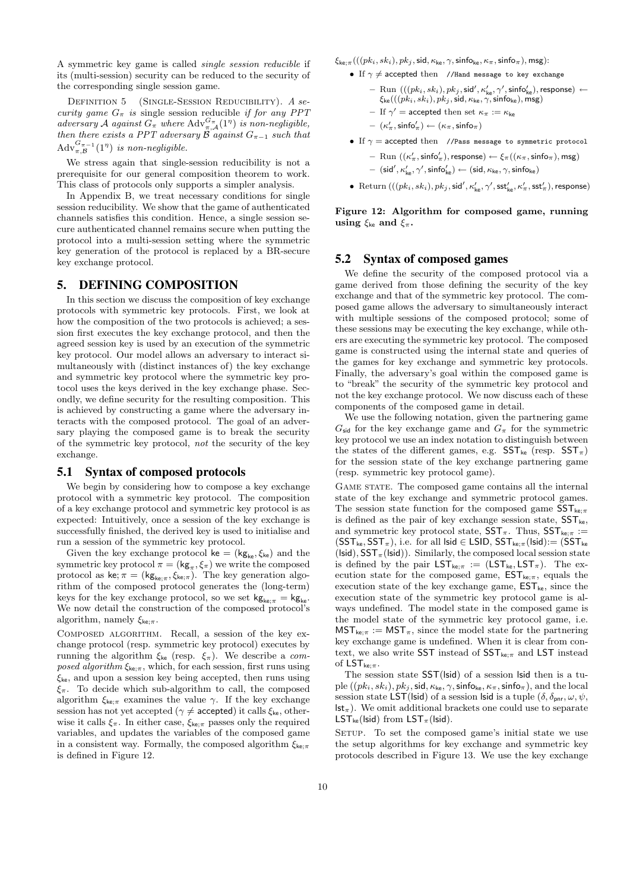A symmetric key game is called single session reducible if its (multi-session) security can be reduced to the security of the corresponding single session game.

DEFINITION 5 (SINGLE-SESSION REDUCIBILITY). A security game  $G_{\pi}$  is single session reducible if for any PPT adversary A against  $G_{\pi}$  where  $\text{Adv}_{\pi,\mathcal{A}}^{G_{\pi}}(1^{\eta})$  is non-negligible, then there exists a PPT adversary B against  $G_{\pi-1}$  such that  $\mathrm{Adv}_{\pi,\mathcal{B}}^{G_{\pi-1}}(1^{\eta})$  is non-negligible.

We stress again that single-session reducibility is not a prerequisite for our general composition theorem to work. This class of protocols only supports a simpler analysis.

In Appendix B, we treat necessary conditions for single session reducibility. We show that the game of authenticated channels satisfies this condition. Hence, a single session secure authenticated channel remains secure when putting the protocol into a multi-session setting where the symmetric key generation of the protocol is replaced by a BR-secure key exchange protocol.

### 5. DEFINING COMPOSITION

In this section we discuss the composition of key exchange protocols with symmetric key protocols. First, we look at how the composition of the two protocols is achieved; a session first executes the key exchange protocol, and then the agreed session key is used by an execution of the symmetric key protocol. Our model allows an adversary to interact simultaneously with (distinct instances of) the key exchange and symmetric key protocol where the symmetric key protocol uses the keys derived in the key exchange phase. Secondly, we define security for the resulting composition. This is achieved by constructing a game where the adversary interacts with the composed protocol. The goal of an adversary playing the composed game is to break the security of the symmetric key protocol, not the security of the key exchange.

### 5.1 Syntax of composed protocols

We begin by considering how to compose a key exchange protocol with a symmetric key protocol. The composition of a key exchange protocol and symmetric key protocol is as expected: Intuitively, once a session of the key exchange is successfully finished, the derived key is used to initialise and run a session of the symmetric key protocol.

Given the key exchange protocol  $ke = (kg_{ke}, \xi_{ke})$  and the symmetric key protocol  $\pi = (\mathsf{kg}_{\pi}, \xi_{\pi})$  we write the composed protocol as  $ke; \pi = (kg_{ke;\pi}, \xi_{ke;\pi})$ . The key generation algorithm of the composed protocol generates the (long-term) keys for the key exchange protocol, so we set  $kg_{ke:\pi} = kg_{ke}$ . We now detail the construction of the composed protocol's algorithm, namely  $\xi_{\text{ke}}$ .

Composed algorithm. Recall, a session of the key exchange protocol (resp. symmetric key protocol) executes by running the algorithm  $\xi_{\text{ke}}$  (resp.  $\xi_{\pi}$ ). We describe a com*posed algorithm*  $\xi_{\text{ke};\pi}$ , which, for each session, first runs using  $\xi_{\text{ke}}$ , and upon a session key being accepted, then runs using  $\xi_{\pi}$ . To decide which sub-algorithm to call, the composed algorithm  $\xi_{\text{ke};\pi}$  examines the value  $\gamma$ . If the key exchange session has not yet accepted ( $\gamma \neq$  accepted) it calls  $\xi_{\text{ke}}$ , otherwise it calls  $\xi_{\pi}$ . In either case,  $\xi_{\text{ke};\pi}$  passes only the required variables, and updates the variables of the composed game in a consistent way. Formally, the composed algorithm  $\xi_{\text{ke};\pi}$ is defined in Figure 12.

 $\xi_{\text{ke};\pi}(((pk_i, sk_i), pk_j, \text{sid}, \kappa_{\text{ke}}, \gamma, \text{sinfo}_{\text{ke}}, \kappa_{\pi}, \text{sinfo}_{\pi}), \text{msg})$ :

- If  $\gamma \neq$  accepted then //Hand message to key exchange
	- $-$  Run ((( $pk_i, sk_i$ ),  $pk_j$ , sid',  $κ'_{ke}$ ,  $γ'$ , sinfo $'_{ke}$ ), response) ←  $ξ_{ke}$ ((( $pk_i, sk_i$ ),  $pk_j$ , sid,  $κ_{ke}$ ,  $γ$ , sinfo<sub>ke</sub>), msg)
	- $-$  If  $\gamma' =$  accepted then set  $\kappa_{\pi} := \kappa_{\mathsf{ke}}$
	- $(\kappa'_\pi, \mathsf{sinfo}'_\pi) \leftarrow (\kappa_\pi, \mathsf{sinfo}_\pi)$
- If  $\gamma$  = accepted then //Pass message to symmetric protocol

$$
\begin{aligned} &-\text{ Run }((\kappa'_{\pi}, \text{sinfo}'_{\pi}), \text{response}) \leftarrow \xi_{\pi}((\kappa_{\pi}, \text{sinfo}_{\pi}), \text{msg}) \\ &-\text{ (sid', } \kappa'_{\text{ke}}, \gamma', \text{sinfo}_{\text{ke}}) \leftarrow (\text{sid}, \kappa_{\text{ke}}, \gamma, \text{sinfo}_{\text{ke}}) \end{aligned}
$$

 $\bullet \;\; \text{Return}\;(((pk_i, sk_i), pk_j, \textsf{sid}', \kappa_{\sf ke}', \gamma', \textsf{sst}_{\sf ke}', \kappa_{\pi}', \textsf{sst}_{\pi}'), \textsf{response})$ 

Figure 12: Algorithm for composed game, running using  $\xi_{\text{ke}}$  and  $\xi_{\pi}$ .

### 5.2 Syntax of composed games

We define the security of the composed protocol via a game derived from those defining the security of the key exchange and that of the symmetric key protocol. The composed game allows the adversary to simultaneously interact with multiple sessions of the composed protocol; some of these sessions may be executing the key exchange, while others are executing the symmetric key protocol. The composed game is constructed using the internal state and queries of the games for key exchange and symmetric key protocols. Finally, the adversary's goal within the composed game is to "break" the security of the symmetric key protocol and not the key exchange protocol. We now discuss each of these components of the composed game in detail.

We use the following notation, given the partnering game  $G_{\text{sid}}$  for the key exchange game and  $G_{\pi}$  for the symmetric key protocol we use an index notation to distinguish between the states of the different games, e.g.  $SST_{ke}$  (resp.  $SST_{\pi}$ ) for the session state of the key exchange partnering game (resp. symmetric key protocol game).

GAME STATE. The composed game contains all the internal state of the key exchange and symmetric protocol games. The session state function for the composed game  $SST_{\text{ker}}$ is defined as the pair of key exchange session state,  $SST_{ke}$ , and symmetric key protocol state,  $SST_{\pi}$ . Thus,  $SST_{\text{kex}} :=$  $(SST_{ke}, SST_{\pi})$ , i.e. for all lsid  $\in$  LSID,  $SST_{ke:\pi}($ lsid):=  $(SST_{ke})$  $(lsid), SST_{\pi}(Isid))$ . Similarly, the composed local session state is defined by the pair  $LST_{ke;\pi} := (LST_{ke}, LST_{\pi})$ . The execution state for the composed game,  $EST_{ke;\pi}$ , equals the execution state of the key exchange game,  $EST_{ke}$ , since the execution state of the symmetric key protocol game is always undefined. The model state in the composed game is the model state of the symmetric key protocol game, i.e.  $MST_{ke;\pi} := MST_{\pi}$ , since the model state for the partnering key exchange game is undefined. When it is clear from context, we also write SST instead of  $SST_{ke;\pi}$  and LST instead of LST $_{ke;\pi}$ .

The session state SST(lsid) of a session lsid then is a tuple  $((pk_i, sk_i), pk_j, \text{sid}, \kappa_{\text{ke}}, \gamma, \text{sinfo}_{\text{ke}}, \kappa_{\pi}, \text{sinfo}_{\pi}),$  and the local session state LST(lsid) of a session lsid is a tuple  $(\delta, \delta_{\text{unr}}, \omega, \psi,$  $\mathsf{lst}_{\pi}$ ). We omit additional brackets one could use to separate LST<sub>ke</sub>(lsid) from LST<sub> $\pi$ </sub>(lsid).

SETUP. To set the composed game's initial state we use the setup algorithms for key exchange and symmetric key protocols described in Figure 13. We use the key exchange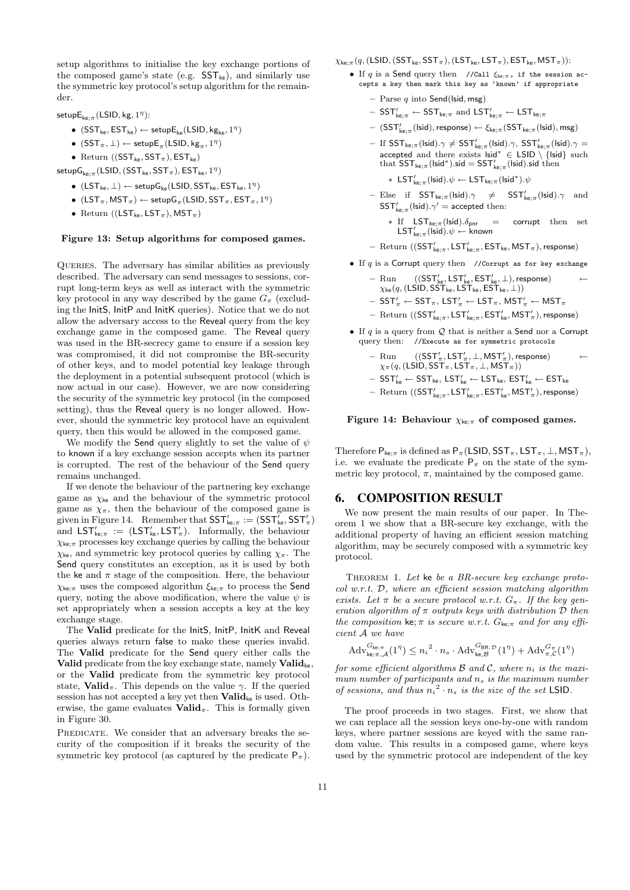setup algorithms to initialise the key exchange portions of the composed game's state (e.g.  $SST_{ke}$ ), and similarly use the symmetric key protocol's setup algorithm for the remainder.

 $\mathsf{setupE}_{\mathsf{ke}; \pi}(\mathsf{LSID}, \mathsf{kg}, 1^\eta)$ :

- $\bullet$   $(\mathsf{SST_{ke}}, \mathsf{EST_{ke}}) \leftarrow \mathsf{setupE_{ke}}(\mathsf{LSID}, \mathsf{kg_{ke}}, 1^\eta)$
- $(SST_{\pi}, \perp) \leftarrow \mathsf{setupE}_{\pi}(\mathsf{LSID}, \mathsf{kg}_{\pi}, 1^{\eta})$
- Return  $((\mathsf{SST}_{\mathsf{ke}}, \mathsf{SST}_{\pi}), \mathsf{EST}_{\mathsf{ke}})$

 $\mathsf{setupG}_{\mathsf{ke};\pi}(\mathsf{LSID}, (\mathsf{SST}_{\mathsf{ke}}, \mathsf{SST}_{\pi}), \mathsf{EST}_{\mathsf{ke}}, 1^\eta)$ 

- $\bullet\;\left(\mathsf{LST}_{\mathsf{ke}},\bot\right)\leftarrow\mathsf{setupG}_{\mathsf{ke}}(\mathsf{LSID},\mathsf{SST}_{\mathsf{ke}},\mathsf{EST}_{\mathsf{ke}},1^\eta)$
- $(LST_{\pi}, MST_{\pi}) \leftarrow \text{setupG}_{\pi}(LSID, SST_{\pi}, EST_{\pi}, 1^{\eta})$
- Return ((LST<sub>ke</sub>, LST<sub> $\pi$ </sub>), MST<sub> $\pi$ </sub>)

#### Figure 13: Setup algorithms for composed games.

QUERIES. The adversary has similar abilities as previously described. The adversary can send messages to sessions, corrupt long-term keys as well as interact with the symmetric key protocol in any way described by the game  $G_{\pi}$  (excluding the InitS, InitP and InitK queries). Notice that we do not allow the adversary access to the Reveal query from the key exchange game in the composed game. The Reveal query was used in the BR-secrecy game to ensure if a session key was compromised, it did not compromise the BR-security of other keys, and to model potential key leakage through the deployment in a potential subsequent protocol (which is now actual in our case). However, we are now considering the security of the symmetric key protocol (in the composed setting), thus the Reveal query is no longer allowed. However, should the symmetric key protocol have an equivalent query, then this would be allowed in the composed game.

We modify the Send query slightly to set the value of  $\psi$ to known if a key exchange session accepts when its partner is corrupted. The rest of the behaviour of the Send query remains unchanged.

If we denote the behaviour of the partnering key exchange game as  $\chi_{\text{ke}}$  and the behaviour of the symmetric protocol game as  $\chi_{\pi}$ , then the behaviour of the composed game is given in Figure 14. Remember that  $\mathsf{SST}'_{\mathsf{ke};\pi} := (\mathsf{SST}'_{\mathsf{ke}}, \mathsf{SST}'_{\pi})$ and  $LST'_{ke;\pi} := (LST'_{ke}, LST'_{\pi}).$  Informally, the behaviour  $\chi_{\text{ke}:\pi}$  processes key exchange queries by calling the behaviour  $\chi_{\text{ke}}$ , and symmetric key protocol queries by calling  $\chi_{\pi}$ . The Send query constitutes an exception, as it is used by both the ke and  $\pi$  stage of the composition. Here, the behaviour  $\chi_{\text{ke};\pi}$  uses the composed algorithm  $\xi_{\text{ke};\pi}$  to process the Send query, noting the above modification, where the value  $\psi$  is set appropriately when a session accepts a key at the key exchange stage.

The Valid predicate for the InitS, InitP, InitK and Reveal queries always return false to make these queries invalid. The Valid predicate for the Send query either calls the Valid predicate from the key exchange state, namely  $\mathbf{Valid}_{\mathbf{ke}}$ . or the Valid predicate from the symmetric key protocol state, Valid<sub>π</sub>. This depends on the value  $\gamma$ . If the queried session has not accepted a key yet then  $\mathbf{Valid}_{\mathsf{ke}}$  is used. Otherwise, the game evaluates  $\text{Valid}_{\pi}$ . This is formally given in Figure 30.

PREDICATE. We consider that an adversary breaks the security of the composition if it breaks the security of the symmetric key protocol (as captured by the predicate  $P_{\pi}$ ).  $\chi_{\text{ke};\pi}(q, (\text{LSID}, (\text{SST}_{\text{ke}}, \text{SST}_{\pi}), (\text{LST}_{\text{ke}}, \text{LST}_{\pi}), \text{EST}_{\text{ke}}, \text{MST}_{\pi}))$ :

- If q is a Send query then //Call  $\xi_{k\epsilon;\pi}$ , if the session accepts a key then mark this key as 'known' if appropriate
	- Parse q into Send(Isid, msg)
	- $-$  SST $'_{k\mathsf{e};\pi}$   $\leftarrow$  SST $_{k\mathsf{e};\pi}$  and  $\mathsf{LST}_{k\mathsf{e};\pi}$   $\leftarrow$  LST $_{k\mathsf{e};\pi}$
	- $(\mathsf{SST}'_{\mathsf{ke}; \pi}(\mathsf{Isid}), \mathsf{response}) \leftarrow \xi_{\mathsf{ke}; \pi}(\mathsf{SST}_{\mathsf{ke}; \pi}(\mathsf{Isid}), \mathsf{msg})$
	- $-$  If SST<sub>ke; $\pi$ </sub>(lsid). $\gamma \neq \text{SST}'_{k\text{e};\pi}$ (lsid). $\gamma$ , SST $'_{k\text{e};\pi}$ (lsid). $\gamma =$ accepted and there exists lsid<sup>∗</sup> ∈ LSID \ {lsid} such that  $\mathsf{SST}_{\mathsf{ke};\pi}(\mathsf{Isid}^*)$ .sid =  $\mathsf{SST}'_{\mathsf{ke};\pi}(\mathsf{Isid}).$ sid then

 $*$  LST $'_{k\mathsf{e};\pi}$ (Isid). $\psi \leftarrow \textsf{LST}_{k\mathsf{e};\pi}(\textsf{Isid}^*).\psi$ 

– Else if  $SST_{ke;π}(Isid) .γ$  ≠  $SST'_{ke;π}(Isid) .γ$  and  $\mathsf{SST}'_{\mathsf{ke};\pi}(\mathsf{Isid}).\gamma' = \textsf{accepted then:}$ 

 $*$  If LST<sub>ke;π</sub>(lsid). $δ_{\text{pnr}}$  = corrupt then set<br>LST<sub>ke;π</sub>(lsid). $ψ$  ← known

- $\text{Return } ((\textsf{SST}'_{\textsf{ke}; \pi}, \textsf{LST}'_{\textsf{ke}; \pi}, \textsf{EST}_{\textsf{ke}}, \textsf{MST}_\pi), \textsf{response})$
- If  $q$  is a Corrupt query then //Corrupt as for key exchange
	- $-$  Run ((SST'<sub>ke</sub>, LST'<sub>ke</sub>, EST'<sub>ke</sub>, ⊥), response) ←<br> $\chi_{\rm ke}(q, {\rm (LSID, SST_{ke}, LST_{ke}, EST_{ke}, ±))$
	- $-$  SST $'_\pi \leftarrow$  SST $_\pi$ , LST $'_\pi \leftarrow$  LST $_\pi$ , MST $'_\pi \leftarrow$  MST $_\pi$
	- $\text{Return } ((\textsf{SST}'_{\mathsf{ke}; \pi}, \textsf{LST}'_{\mathsf{ke}; \pi}, \textsf{EST}'_{\mathsf{ke}}, \textsf{MST}'_{\pi}), \textsf{response})$
- If q is a query from  $Q$  that is neither a Send nor a Corrupt query then: //Execute as for symmetric protocols
	- $-$  Run  $\pi'_\pi, \textsf{LST}'_\pi, \bot, \textsf{MST}'_\pi), \textsf{response}) \quad \leftarrow$  $\chi_{\pi}(q, {\sf (LSl\grave{D},SS\acute{T}_{\pi},LS\acute{T}_{\pi},\perp,MS\acute{T}_{\pi}}))$
	- $-$  SST $'_{\mathsf{ke}}$   $\leftarrow$  SST $_{\mathsf{ke}}$ , LST $'_{\mathsf{ke}}$   $\leftarrow$  LST $_{\mathsf{ke}}$ , EST $_{\mathsf{ke}}$   $\leftarrow$  EST $_{\mathsf{ke}}$
	- $\text{Return } ((\textsf{SST}'_{\mathsf{ke}; \pi}, \textsf{LST}'_{\mathsf{ke}; \pi}, \textsf{EST}'_{\mathsf{ke}}, \textsf{MST}'_{\pi}), \textsf{response})$

Figure 14: Behaviour  $\chi_{\text{ke};\pi}$  of composed games.

Therefore  $P_{ke;\pi}$  is defined as  $P_{\pi}$ (LSID, SST<sub> $\pi$ </sub>, LST<sub> $\pi$ </sub>,  $\perp$ , MST<sub> $\pi$ </sub>), i.e. we evaluate the predicate  $P_{\pi}$  on the state of the symmetric key protocol,  $\pi$ , maintained by the composed game.

### 6. COMPOSITION RESULT

We now present the main results of our paper. In Theorem 1 we show that a BR-secure key exchange, with the additional property of having an efficient session matching algorithm, may be securely composed with a symmetric key protocol.

THEOREM 1. Let ke be a BR-secure key exchange proto $col w.r.t. D$ , where an efficient session matching algorithm exists. Let  $\pi$  be a secure protocol w.r.t.  $G_{\pi}$ . If the key generation algorithm of  $\pi$  outputs keys with distribution  $\mathcal D$  then the composition ke;  $\pi$  is secure w.r.t.  $G_{\text{ke};\pi}$  and for any efficient A we have

$$
\mathrm{Adv}_{\mathbf{k}\mathbf{e};\pi,\mathcal{A}}^{G_{\mathbf{k}\mathbf{e};\pi}}(1^\eta)\leq {n_i}^2\cdot n_s\cdot \mathrm{Adv}_{\mathbf{k}\mathbf{e},\mathcal{B}}^{G_{\mathbf{B}\mathbf{R},\mathcal{D}}}(1^\eta)+\mathrm{Adv}_{\pi,\mathcal{C}}^{G_\pi}(1^\eta)
$$

for some efficient algorithms  $\beta$  and  $\beta$ , where  $n_i$  is the maximum number of participants and  $n_s$  is the maximum number of sessions, and thus  $n_i^2 \cdot n_s$  is the size of the set LSID.

The proof proceeds in two stages. First, we show that we can replace all the session keys one-by-one with random keys, where partner sessions are keyed with the same random value. This results in a composed game, where keys used by the symmetric protocol are independent of the key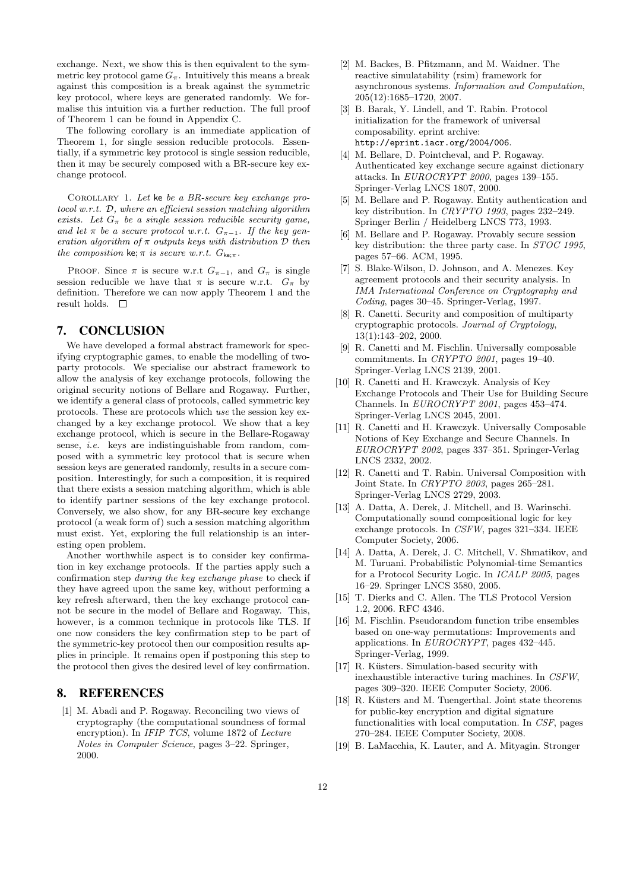exchange. Next, we show this is then equivalent to the symmetric key protocol game  $G_{\pi}$ . Intuitively this means a break against this composition is a break against the symmetric key protocol, where keys are generated randomly. We formalise this intuition via a further reduction. The full proof of Theorem 1 can be found in Appendix C.

The following corollary is an immediate application of Theorem 1, for single session reducible protocols. Essentially, if a symmetric key protocol is single session reducible, then it may be securely composed with a BR-secure key exchange protocol.

COROLLARY 1. Let ke be a  $BR\text{-}secure$  key exchange protocol w.r.t. D, where an efficient session matching algorithm exists. Let  $G_{\pi}$  be a single session reducible security game, and let  $\pi$  be a secure protocol w.r.t.  $G_{\pi-1}$ . If the key generation algorithm of  $\pi$  outputs keys with distribution  $\mathcal D$  then the composition ke;  $\pi$  is secure w.r.t.  $G_{\text{ke}:\pi}$ .

PROOF. Since  $\pi$  is secure w.r.t  $G_{\pi-1}$ , and  $G_{\pi}$  is single session reducible we have that  $\pi$  is secure w.r.t.  $G_{\pi}$  by definition. Therefore we can now apply Theorem 1 and the result holds.  $\square$ 

### 7. CONCLUSION

We have developed a formal abstract framework for specifying cryptographic games, to enable the modelling of twoparty protocols. We specialise our abstract framework to allow the analysis of key exchange protocols, following the original security notions of Bellare and Rogaway. Further, we identify a general class of protocols, called symmetric key protocols. These are protocols which use the session key exchanged by a key exchange protocol. We show that a key exchange protocol, which is secure in the Bellare-Rogaway sense, i.e. keys are indistinguishable from random, composed with a symmetric key protocol that is secure when session keys are generated randomly, results in a secure composition. Interestingly, for such a composition, it is required that there exists a session matching algorithm, which is able to identify partner sessions of the key exchange protocol. Conversely, we also show, for any BR-secure key exchange protocol (a weak form of) such a session matching algorithm must exist. Yet, exploring the full relationship is an interesting open problem.

Another worthwhile aspect is to consider key confirmation in key exchange protocols. If the parties apply such a confirmation step during the key exchange phase to check if they have agreed upon the same key, without performing a key refresh afterward, then the key exchange protocol cannot be secure in the model of Bellare and Rogaway. This, however, is a common technique in protocols like TLS. If one now considers the key confirmation step to be part of the symmetric-key protocol then our composition results applies in principle. It remains open if postponing this step to the protocol then gives the desired level of key confirmation.

### 8. REFERENCES

[1] M. Abadi and P. Rogaway. Reconciling two views of cryptography (the computational soundness of formal encryption). In IFIP TCS, volume 1872 of Lecture Notes in Computer Science, pages 3–22. Springer, 2000.

- [2] M. Backes, B. Pfitzmann, and M. Waidner. The reactive simulatability (rsim) framework for asynchronous systems. Information and Computation, 205(12):1685–1720, 2007.
- [3] B. Barak, Y. Lindell, and T. Rabin. Protocol initialization for the framework of universal composability. eprint archive: http://eprint.iacr.org/2004/006.
- [4] M. Bellare, D. Pointcheval, and P. Rogaway. Authenticated key exchange secure against dictionary attacks. In EUROCRYPT 2000, pages 139–155. Springer-Verlag LNCS 1807, 2000.
- [5] M. Bellare and P. Rogaway. Entity authentication and key distribution. In CRYPTO 1993, pages 232–249. Springer Berlin / Heidelberg LNCS 773, 1993.
- [6] M. Bellare and P. Rogaway. Provably secure session key distribution: the three party case. In STOC 1995, pages 57–66. ACM, 1995.
- [7] S. Blake-Wilson, D. Johnson, and A. Menezes. Key agreement protocols and their security analysis. In IMA International Conference on Cryptography and Coding, pages 30–45. Springer-Verlag, 1997.
- [8] R. Canetti. Security and composition of multiparty cryptographic protocols. Journal of Cryptology, 13(1):143–202, 2000.
- [9] R. Canetti and M. Fischlin. Universally composable commitments. In CRYPTO 2001, pages 19–40. Springer-Verlag LNCS 2139, 2001.
- [10] R. Canetti and H. Krawczyk. Analysis of Key Exchange Protocols and Their Use for Building Secure Channels. In EUROCRYPT 2001, pages 453–474. Springer-Verlag LNCS 2045, 2001.
- [11] R. Canetti and H. Krawczyk. Universally Composable Notions of Key Exchange and Secure Channels. In EUROCRYPT 2002, pages 337–351. Springer-Verlag LNCS 2332, 2002.
- [12] R. Canetti and T. Rabin. Universal Composition with Joint State. In CRYPTO 2003, pages 265–281. Springer-Verlag LNCS 2729, 2003.
- [13] A. Datta, A. Derek, J. Mitchell, and B. Warinschi. Computationally sound compositional logic for key exchange protocols. In CSFW, pages 321–334. IEEE Computer Society, 2006.
- [14] A. Datta, A. Derek, J. C. Mitchell, V. Shmatikov, and M. Turuani. Probabilistic Polynomial-time Semantics for a Protocol Security Logic. In ICALP 2005, pages 16–29. Springer LNCS 3580, 2005.
- [15] T. Dierks and C. Allen. The TLS Protocol Version 1.2, 2006. RFC 4346.
- [16] M. Fischlin. Pseudorandom function tribe ensembles based on one-way permutations: Improvements and applications. In EUROCRYPT, pages 432–445. Springer-Verlag, 1999.
- [17] R. Küsters. Simulation-based security with inexhaustible interactive turing machines. In CSFW, pages 309–320. IEEE Computer Society, 2006.
- [18] R. Küsters and M. Tuengerthal. Joint state theorems for public-key encryption and digital signature functionalities with local computation. In CSF, pages 270–284. IEEE Computer Society, 2008.
- [19] B. LaMacchia, K. Lauter, and A. Mityagin. Stronger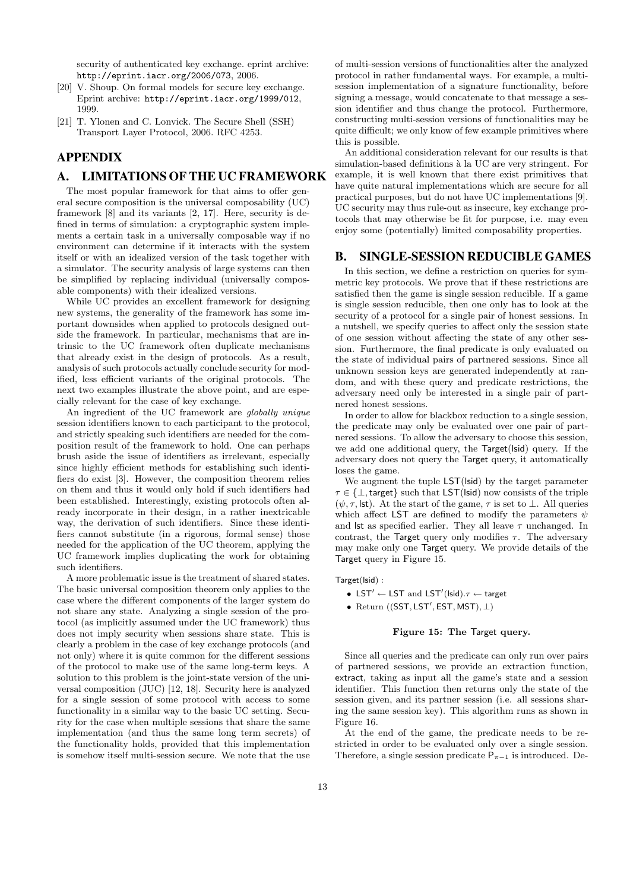security of authenticated key exchange. eprint archive: http://eprint.iacr.org/2006/073, 2006.

- [20] V. Shoup. On formal models for secure key exchange. Eprint archive: http://eprint.iacr.org/1999/012, 1999.
- [21] T. Ylonen and C. Lonvick. The Secure Shell (SSH) Transport Layer Protocol, 2006. RFC 4253.

### APPENDIX

### A. LIMITATIONS OF THE UC FRAMEWORK

The most popular framework for that aims to offer general secure composition is the universal composability (UC) framework [8] and its variants [2, 17]. Here, security is defined in terms of simulation: a cryptographic system implements a certain task in a universally composable way if no environment can determine if it interacts with the system itself or with an idealized version of the task together with a simulator. The security analysis of large systems can then be simplified by replacing individual (universally composable components) with their idealized versions.

While UC provides an excellent framework for designing new systems, the generality of the framework has some important downsides when applied to protocols designed outside the framework. In particular, mechanisms that are intrinsic to the UC framework often duplicate mechanisms that already exist in the design of protocols. As a result, analysis of such protocols actually conclude security for modified, less efficient variants of the original protocols. The next two examples illustrate the above point, and are especially relevant for the case of key exchange.

An ingredient of the UC framework are *globally unique* session identifiers known to each participant to the protocol, and strictly speaking such identifiers are needed for the composition result of the framework to hold. One can perhaps brush aside the issue of identifiers as irrelevant, especially since highly efficient methods for establishing such identifiers do exist [3]. However, the composition theorem relies on them and thus it would only hold if such identifiers had been established. Interestingly, existing protocols often already incorporate in their design, in a rather inextricable way, the derivation of such identifiers. Since these identifiers cannot substitute (in a rigorous, formal sense) those needed for the application of the UC theorem, applying the UC framework implies duplicating the work for obtaining such identifiers.

A more problematic issue is the treatment of shared states. The basic universal composition theorem only applies to the case where the different components of the larger system do not share any state. Analyzing a single session of the protocol (as implicitly assumed under the UC framework) thus does not imply security when sessions share state. This is clearly a problem in the case of key exchange protocols (and not only) where it is quite common for the different sessions of the protocol to make use of the same long-term keys. A solution to this problem is the joint-state version of the universal composition (JUC) [12, 18]. Security here is analyzed for a single session of some protocol with access to some functionality in a similar way to the basic UC setting. Security for the case when multiple sessions that share the same implementation (and thus the same long term secrets) of the functionality holds, provided that this implementation is somehow itself multi-session secure. We note that the use

of multi-session versions of functionalities alter the analyzed protocol in rather fundamental ways. For example, a multisession implementation of a signature functionality, before signing a message, would concatenate to that message a session identifier and thus change the protocol. Furthermore, constructing multi-session versions of functionalities may be quite difficult; we only know of few example primitives where this is possible.

An additional consideration relevant for our results is that simulation-based definitions à la UC are very stringent. For example, it is well known that there exist primitives that have quite natural implementations which are secure for all practical purposes, but do not have UC implementations [9]. UC security may thus rule-out as insecure, key exchange protocols that may otherwise be fit for purpose, i.e. may even enjoy some (potentially) limited composability properties.

### B. SINGLE-SESSION REDUCIBLE GAMES

In this section, we define a restriction on queries for symmetric key protocols. We prove that if these restrictions are satisfied then the game is single session reducible. If a game is single session reducible, then one only has to look at the security of a protocol for a single pair of honest sessions. In a nutshell, we specify queries to affect only the session state of one session without affecting the state of any other session. Furthermore, the final predicate is only evaluated on the state of individual pairs of partnered sessions. Since all unknown session keys are generated independently at random, and with these query and predicate restrictions, the adversary need only be interested in a single pair of partnered honest sessions.

In order to allow for blackbox reduction to a single session, the predicate may only be evaluated over one pair of partnered sessions. To allow the adversary to choose this session, we add one additional query, the Target(lsid) query. If the adversary does not query the Target query, it automatically loses the game.

We augment the tuple LST(lsid) by the target parameter  $\tau \in \{\perp, \text{target}\}\$  such that LST(lsid) now consists of the triple  $(\psi, \tau, \text{lst})$ . At the start of the game,  $\tau$  is set to  $\bot$ . All queries which affect LST are defined to modify the parameters  $\psi$ and lst as specified earlier. They all leave  $\tau$  unchanged. In contrast, the Target query only modifies  $\tau$ . The adversary may make only one Target query. We provide details of the Target query in Figure 15.

Target(lsid) :

- LST'  $\leftarrow$  LST and LST'(lsid). $\tau \leftarrow$  target
- Return  $((SST, LST', EST, MST), \perp)$

#### Figure 15: The Target query.

Since all queries and the predicate can only run over pairs of partnered sessions, we provide an extraction function, extract, taking as input all the game's state and a session identifier. This function then returns only the state of the session given, and its partner session (i.e. all sessions sharing the same session key). This algorithm runs as shown in Figure 16.

At the end of the game, the predicate needs to be restricted in order to be evaluated only over a single session. Therefore, a single session predicate  $P_{\pi-1}$  is introduced. De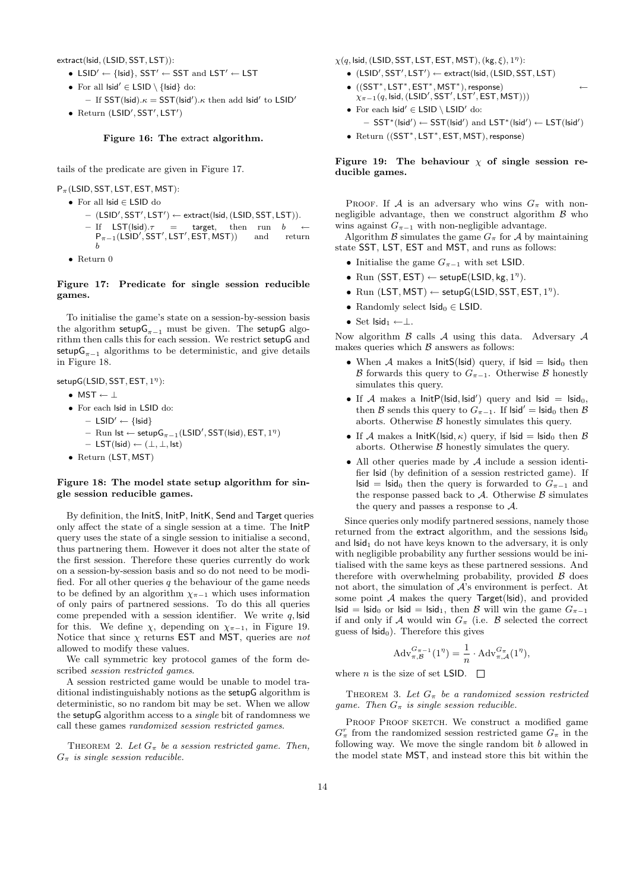extract(lsid, (LSID, SST, LST)):

- LSID'  $\leftarrow$  {lsid}, SST'  $\leftarrow$  SST and LST'  $\leftarrow$  LST
- For all  $\textsf{Isid}' \in \textsf{LSID} \setminus \textsf{Isid} \}$  do:
	- If SST(lsid). $\kappa = \text{SST}(\text{Isid}').\kappa$  then add lsid' to LSID'
- $\bullet$  Return (LSID', SST', LST')

#### Figure 16: The extract algorithm.

tails of the predicate are given in Figure 17.

 $P_{\pi}$ (LSID, SST, LST, EST, MST):

- For all lsid ∈ LSID do
	- $-$  (LSID', SST', LST')  $\leftarrow$  extract(lsid, (LSID, SST, LST)). – If  $\mathsf{LST}(\mathsf{Isid}).\tau = \mathsf{target}, \text{ then } \text{run } b$  $P_{\pi-1}$ (LSID', SST', LST', EST, MST)) and return b
- Return 0

#### Figure 17: Predicate for single session reducible games.

To initialise the game's state on a session-by-session basis the algorithm setupG<sub> $π-1$ </sub> must be given. The setupG algorithm then calls this for each session. We restrict setupG and  $\mathsf{setupG}_{\pi-1}$  algorithms to be deterministic, and give details in Figure 18.

 $setupG(LSID, SST, EST, 1<sup>7</sup>)$ :

- MST  $\leftarrow$   $\perp$
- For each lsid in LSID do:
	- $-$  LSID'  $\leftarrow$  {lsid}
		- $-$  Run lst ← setup $G_{\pi-1}$ (LSID', SST(lsid), EST, 1<sup>η</sup>)
	- LST(lsid) ← (⊥, ⊥, lst)
- Return (LST, MST)

#### Figure 18: The model state setup algorithm for single session reducible games.

By definition, the InitS, InitP, InitK, Send and Target queries only affect the state of a single session at a time. The InitP query uses the state of a single session to initialise a second, thus partnering them. However it does not alter the state of the first session. Therefore these queries currently do work on a session-by-session basis and so do not need to be modified. For all other queries  $q$  the behaviour of the game needs to be defined by an algorithm  $\chi_{\pi-1}$  which uses information of only pairs of partnered sessions. To do this all queries come prepended with a session identifier. We write  $q$ , lsid for this. We define  $\chi$ , depending on  $\chi_{\pi-1}$ , in Figure 19. Notice that since  $\chi$  returns EST and MST, queries are not allowed to modify these values.

We call symmetric key protocol games of the form described session restricted games.

A session restricted game would be unable to model traditional indistinguishably notions as the setupG algorithm is deterministic, so no random bit may be set. When we allow the setupG algorithm access to a single bit of randomness we call these games randomized session restricted games.

THEOREM 2. Let  $G_{\pi}$  be a session restricted game. Then,  $G_{\pi}$  is single session reducible.

 $\chi(q,\textsf{Isid},(\textsf{LSID},\textsf{SST},\textsf{LST},\textsf{EST},\textsf{MST}),(\textsf{kg},\xi),1^\eta)$ :

- $\bullet$  (LSID', SST', LST')  $\leftarrow$  extract(lsid, (LSID, SST, LST)
- ((SST<sup>∗</sup> , LST<sup>∗</sup> , EST<sup>∗</sup> , MST<sup>∗</sup> ),response) ←
- $\chi_{\pi-1}(q, \mathsf{Isid}, (\mathsf{LSID}', \mathsf{SST}', \mathsf{LST}', \mathsf{EST}, \mathsf{MST})))$ • For each lsid'  $\in$  LSID \ LSID' do:
	- $-$  SST<sup>\*</sup>(lsid') ← SST(lsid') and LST<sup>\*</sup>(lsid') ← LST(lsid')
- Return ((SST<sup>∗</sup> , LST<sup>∗</sup> , EST, MST),response)

#### Figure 19: The behaviour  $\chi$  of single session reducible games.

PROOF. If A is an adversary who wins  $G_{\pi}$  with nonnegligible advantage, then we construct algorithm  $\beta$  who wins against  $G_{\pi-1}$  with non-negligible advantage.

Algorithm B simulates the game  $G_{\pi}$  for A by maintaining state SST, LST, EST and MST, and runs as follows:

- Initialise the game  $G_{\pi-1}$  with set LSID.
- Run (SST, EST)  $\leftarrow$  setupE(LSID, kg, 1<sup>7</sup>).
- Run  $(LST, MST) \leftarrow \text{setupG}(LSID, SST, EST, 1<sup>*n*</sup>).$
- Randomly select  $\textsf{lsid}_0 \in \textsf{LSID}$ .
- Set  $\mathsf{Isid}_1 \leftarrow \perp$ .

Now algorithm  $\beta$  calls  $\lambda$  using this data. Adversary  $\lambda$ makes queries which  $\beta$  answers as follows:

- When A makes a InitS(lsid) query, if lsid = lsid<sub>0</sub> then B forwards this query to  $G_{\pi-1}$ . Otherwise B honestly simulates this query.
- If A makes a InitP(Isid, Isid') query and Isid =  $\text{lsid}_0$ , then B sends this query to  $G_{\pi-1}$ . If lsid' = lsid<sub>0</sub> then B aborts. Otherwise  $\beta$  honestly simulates this query.
- If A makes a InitK(Isid,  $\kappa$ ) query, if Isid = lsid<sub>0</sub> then B aborts. Otherwise  $\beta$  honestly simulates the query.
- All other queries made by  $A$  include a session identifier lsid (by definition of a session restricted game). If lsid = lsid<sub>0</sub> then the query is forwarded to  $G_{\pi-1}$  and the response passed back to  $A$ . Otherwise  $B$  simulates the query and passes a response to A.

Since queries only modify partnered sessions, namely those returned from the extract algorithm, and the sessions  $\text{lsid}_0$ and  $\text{Isid}_1$  do not have keys known to the adversary, it is only with negligible probability any further sessions would be initialised with the same keys as these partnered sessions. And therefore with overwhelming probability, provided  $\beta$  does not abort, the simulation of  $A$ 's environment is perfect. At some point  $A$  makes the query  $Target(Isid)$ , and provided lsid = lsid<sub>0</sub> or lsid = lsid<sub>1</sub>, then B will win the game  $G_{\pi-1}$ if and only if A would win  $G_{\pi}$  (i.e. B selected the correct guess of  $\text{lsid}_0$ ). Therefore this gives

$$
Adv_{\pi,\mathcal{B}}^{G_{\pi-1}}(1^{\eta}) = \frac{1}{n} \cdot Adv_{\pi,\mathcal{A}}^{G_{\pi}}(1^{\eta}),
$$

where *n* is the size of set LSID.  $\Box$ 

THEOREM 3. Let  $G_{\pi}$  be a randomized session restricted game. Then  $G_{\pi}$  is single session reducible.

PROOF PROOF SKETCH. We construct a modified game  $G^r_\pi$  from the randomized session restricted game  $G_\pi$  in the following way. We move the single random bit  $b$  allowed in the model state MST, and instead store this bit within the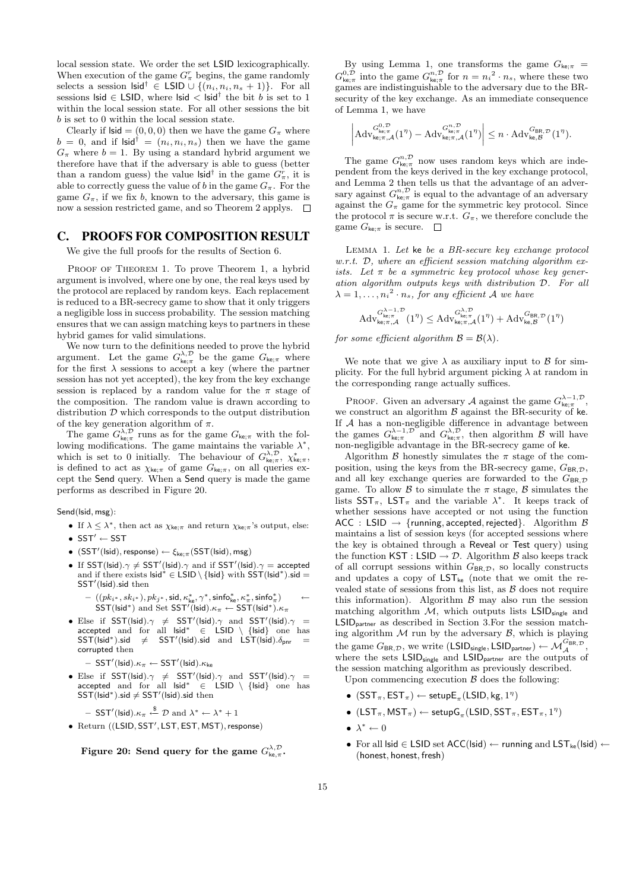local session state. We order the set LSID lexicographically. When execution of the game  $G_{\pi}^{r}$  begins, the game randomly selects a session  $\textsf{Isid}^\dagger \in \textsf{LSID} \cup \{(n_i, n_i, n_s + 1)\}.$  For all sessions lsid ∈ LSID, where lsid < lsid<sup>†</sup> the bit b is set to 1 within the local session state. For all other sessions the bit b is set to 0 within the local session state.

Clearly if  $\text{Isid} = (0, 0, 0)$  then we have the game  $G_{\pi}$  where  $b = 0$ , and if  $\textsf{Isid}^{\dagger} = (n_i, n_i, n_s)$  then we have the game  $G_{\pi}$  where  $b = 1$ . By using a standard hybrid argument we therefore have that if the adversary is able to guess (better than a random guess) the value  $\mathsf{Isid}^\dagger$  in the game  $G^r_\pi$ , it is able to correctly guess the value of b in the game  $G_{\pi}$ . For the game  $G_{\pi}$ , if we fix b, known to the adversary, this game is now a session restricted game, and so Theorem 2 applys.  $\Box$ 

## C. PROOFS FOR COMPOSITION RESULT

We give the full proofs for the results of Section 6.

PROOF OF THEOREM 1. To prove Theorem 1, a hybrid argument is involved, where one by one, the real keys used by the protocol are replaced by random keys. Each replacement is reduced to a BR-secrecy game to show that it only triggers a negligible loss in success probability. The session matching ensures that we can assign matching keys to partners in these hybrid games for valid simulations.

We now turn to the definitions needed to prove the hybrid argument. Let the game  $G_{\mathbf{ke};\pi}^{\lambda,\mathcal{D}}$  be the game  $G_{\mathbf{ke};\pi}$  where for the first  $\lambda$  sessions to accept a key (where the partner session has not yet accepted), the key from the key exchange session is replaced by a random value for the  $\pi$  stage of the composition. The random value is drawn according to distribution  $D$  which corresponds to the output distribution of the key generation algorithm of  $\pi$ .

The game  $G_{\text{ke};\pi}^{\lambda,\mathcal{D}}$  runs as for the game  $G_{\text{ke};\pi}$  with the following modifications. The game maintains the variable  $\lambda^*$ , which is set to 0 initially. The behaviour of  $G_{\mathsf{ke};\pi}^{\lambda,\mathcal{D}}, \chi_{\mathsf{ke};\pi}^*$ is defined to act as  $\chi_{\text{ke};\pi}$  of game  $G_{\text{ke};\pi}$ , on all queries except the Send query. When a Send query is made the game performs as described in Figure 20.

Send(lsid, msg):

- If  $\lambda \leq \lambda^*$ , then act as  $\chi_{\text{ke};\pi}$  and return  $\chi_{\text{ke};\pi}$ 's output, else:
- $SST' \leftarrow SST$
- $\bullet$   $(SST'$ (lsid), response)  $\leftarrow$   $\xi_{ke;\pi}(SST(Isid), msg)$
- If SST(lsid). $\gamma \neq$  SST'(lsid). $\gamma$  and if SST'(lsid). $\gamma$  = accepted and if there exists  $\text{Isid}^* \in \text{LSID} \setminus \{\text{Isid}\}\$  with  $\text{SST}(\text{Isid}^*)$  sid = SST'(Isid).sid then
	- $-((pk_{i^*}, sk_{i^*}), pk_{j^*}, sid, \kappa^*_{\text{ke}}, γ^*, \textsf{sinfo}^*_{\textsf{ke}}, \kappa^*_{\pi}, \textsf{sinfo}^*_{\pi})$  ←  $\mathsf{SST}(\mathsf{Isid}^*)$  and  $\mathsf{Set}$   $\mathsf{SST}'(\mathsf{Isid}).\kappa_\pi \leftarrow \mathsf{SST}(\mathsf{Isid}^*).\kappa_\pi$
- Else if SST(lsid). $\gamma \neq SST'(\text{Isid})$ . $\gamma$  and SST'(lsid). $\gamma$  = accepted and for all lsid<sup>\*</sup>  $\in$  LSID \ {lsid} one has  $SST($ lsid<sup>\*</sup>).sid  $\neq$  SST'(lsid).sid and LST(lsid). $\delta_{\text{pnr}}$  = corrupted then

 $-$  SST'(lsid). $\kappa_{\pi} \leftarrow$  SST'(lsid). $\kappa_{\mathsf{ke}}$ 

• Else if SST(lsid). $\gamma \neq SST'(\text{Isid})$ . $\gamma$  and SST'(lsid). $\gamma$  = accepted and for all lsid<sup>\*</sup>  $\in$  LSID \ {lsid} one has  $SST($ lsid<sup>\*</sup>).sid  $\neq SST'($ lsid).sid then

 $-$  SST'(lsid). $κ_\pi \stackrel{\$}longarrow$   $\mathcal{D}$  and  $\lambda^* \leftarrow \lambda^* + 1$ 

 $\bullet$  Return ((LSID, SST', LST, EST, MST), response)

Figure 20: Send query for the game  $G^{\lambda,\mathcal{D}}_{\mathsf{ke},\pi}.$ 

By using Lemma 1, one transforms the game  $G_{\text{ke};\pi}$  =  $G_{\mathbf{k}\in\pi}^{0,\mathcal{D}}$  into the game  $G_{\mathbf{k}\in\pi}^{n,\mathcal{D}}$  for  $n = n_i^2 \cdot n_s$ , where these two games are indistinguishable to the adversary due to the BRsecurity of the key exchange. As an immediate consequence of Lemma 1, we have

$$
\left|\mathrm{Adv}_{\mathbf{k}\in\mathbf{r},\mathbf{r},\mathbf{A}}^{G_{\mathbf{k}\in\mathbf{r},\mathbf{r}}^{0,\mathcal{D}}}(1^{\eta})-\mathrm{Adv}_{\mathbf{k}\in\mathbf{r},\mathbf{r},\mathbf{A}}^{G_{\mathbf{k}\in\mathbf{r},\mathbf{r}}^{n},\mathcal{D}}(1^{\eta})\right|\leq n\cdot\mathrm{Adv}_{\mathbf{k}\mathbf{e},\mathcal{B}}^{G_{\mathbf{BR},\mathcal{D}}}(1^{\eta}).
$$

The game  $G_{\mathbf{k}\in\pi}^{n,\mathcal{D}}$  now uses random keys which are independent from the keys derived in the key exchange protocol, and Lemma 2 then tells us that the advantage of an adversary against  $G_{\mathsf{ke};\pi}^{n,\mathcal{D}}$  is equal to the advantage of an adversary against the  $G_\pi$  game for the symmetric key protocol. Since the protocol  $\pi$  is secure w.r.t.  $G_{\pi}$ , we therefore conclude the game  $G_{\text{ke}:\pi}$  is secure.  $\square$ 

Lemma 1. Let ke be a BR-secure key exchange protocol w.r.t. D, where an efficient session matching algorithm exists. Let  $\pi$  be a symmetric key protocol whose key generation algorithm outputs keys with distribution D. For all  $\lambda = 1, \ldots, n_i^2 \cdot n_s$ , for any efficient A we have

$$
\mathrm{Adv}_{\mathsf{ke}; \pi, \mathcal{A}}^{G_{\mathsf{ke}; \pi}^{ \lambda - 1, \mathcal{D}}}\left(1^{\eta}\right) \leq \mathrm{Adv}_{\mathsf{ke}; \pi, \mathcal{A}}^{G_{\mathsf{ke}; \pi}^{ \lambda, \mathcal{D}}}\left(1^{\eta}\right) + \mathrm{Adv}_{\mathsf{ke}, \mathcal{B}}^{G_{\mathsf{BR}, \mathcal{D}}}\left(1^{\eta}\right)
$$

for some efficient algorithm  $\mathcal{B} = \mathcal{B}(\lambda)$ .

We note that we give  $\lambda$  as auxiliary input to  $\beta$  for simplicity. For the full hybrid argument picking  $\lambda$  at random in the corresponding range actually suffices.

PROOF. Given an adversary A against the game  $G_{\text{ke};\pi}^{\lambda-1,\mathcal{D}},$ we construct an algorithm  $\beta$  against the BR-security of ke. If A has a non-negligible difference in advantage between the games  $G_{\text{ke};\pi}^{\lambda-1,\mathcal{D}}$  and  $G_{\text{ke};\pi}^{\lambda,\mathcal{D}}$ , then algorithm  $\mathcal{B}$  will have non-negligible advantage in the BR-secrecy game of ke.

Algorithm B honestly simulates the  $\pi$  stage of the composition, using the keys from the BR-secrecy game,  $G_{BR,D}$ , and all key exchange queries are forwarded to the  $G_{BR,D}$ game. To allow  $\beta$  to simulate the  $\pi$  stage,  $\beta$  simulates the lists  $SST_{\pi}$ ,  $LST_{\pi}$  and the variable  $\lambda^*$ . It keeps track of whether sessions have accepted or not using the function ACC : LSID  $\rightarrow$  {running, accepted, rejected}. Algorithm  $\beta$ maintains a list of session keys (for accepted sessions where the key is obtained through a Reveal or Test query) using the function  $\mathsf{KST} : \mathsf{LSID} \to \mathcal{D}$ . Algorithm  $\mathcal B$  also keeps track of all corrupt sessions within  $G_{BR,D}$ , so locally constructs and updates a copy of  $LST_{ke}$  (note that we omit the revealed state of sessions from this list, as  $\beta$  does not require this information). Algorithm  $\beta$  may also run the session matching algorithm  $M$ , which outputs lists  $LSID<sub>single</sub>$  and LSIDpartner as described in Section 3.For the session matching algorithm  $M$  run by the adversary  $B$ , which is playing the game  $G_{\text{BR},\mathcal{D}},$  we write  $(\textsf{LSID}_\textsf{single}, \textsf{LSID}_\textsf{partner}) \leftarrow \mathcal{M}_{\mathcal{A}}^{G_{\text{BR},\mathcal{D}}},$ where the sets LSID<sub>single</sub> and LSID<sub>partner</sub> are the outputs of the session matching algorithm as previously described.

Upon commencing execution  $\beta$  does the following:

- $(SST_{\pi}, EST_{\pi}) \leftarrow setupE_{\pi}(LSID, kg, 1^{\eta})$
- $(LST_{\pi}, MST_{\pi}) \leftarrow \text{setupG}_{\pi}(LSID, SST_{\pi}, EST_{\pi}, 1^{\eta})$
- $\bullet \lambda^* \leftarrow 0$
- For all lsid  $\in$  LSID set ACC(lsid)  $\leftarrow$  running and LST<sub>ke</sub>(lsid)  $\leftarrow$ (honest, honest, fresh)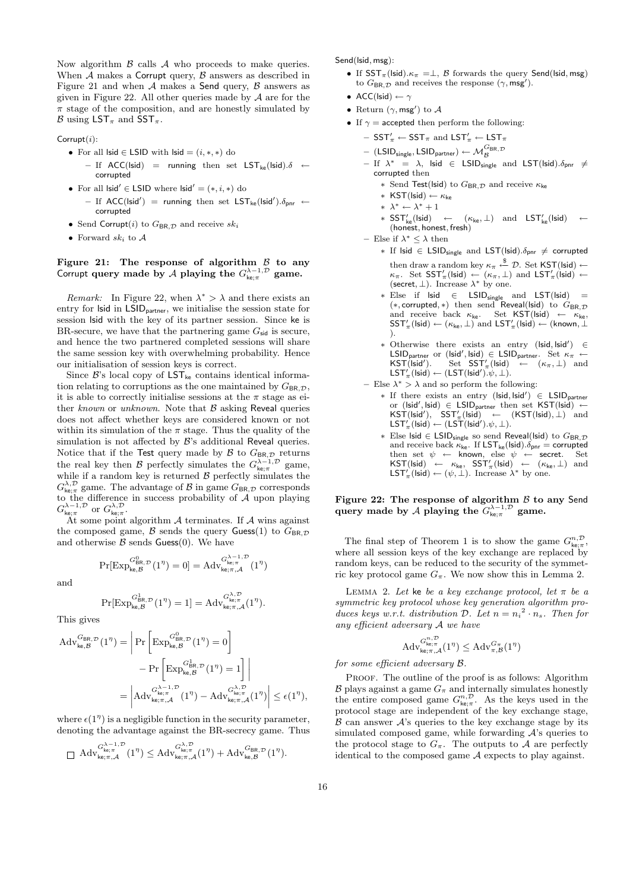Now algorithm  $\beta$  calls  $\lambda$  who proceeds to make queries. When  $A$  makes a Corrupt query,  $B$  answers as described in Figure 21 and when  $A$  makes a Send query,  $B$  answers as given in Figure 22. All other queries made by  $A$  are for the  $\pi$  stage of the composition, and are honestly simulated by B using LST<sub> $\pi$ </sub> and SST<sub> $\pi$ </sub>.

 $Corrunt(i)$ :

- For all lsid  $\in$  LSID with lsid =  $(i, *, *)$  do
	- If ACC(lsid) = running then set  $LST_{ke}$ (lsid). $\delta \leftarrow$ corrupted
- For all lsid'  $\in$  LSID where lsid' =  $(*, i, *)$  do
	- $-$  If ACC(lsid') = running then set  $\text{LST}_{\text{ke}}(\text{Isid}').\delta_{\text{pnr}} \leftarrow$ corrupted
- Send Corrupt(i) to  $G_{BR, \mathcal{D}}$  and receive  $sk_i$
- Forward  $sk_i$  to  $A$

### Figure 21: The response of algorithm  $\beta$  to any Corrupt query made by A playing the  $G_{\text{ke};\pi}^{\lambda-1,\mathcal{D}}$  game.

*Remark:* In Figure 22, when  $\lambda^* > \lambda$  and there exists an entry for lsid in LSID<sub>partner</sub>, we initialise the session state for session lsid with the key of its partner session. Since ke is BR-secure, we have that the partnering game  $G_{\text{sid}}$  is secure, and hence the two partnered completed sessions will share the same session key with overwhelming probability. Hence our initialisation of session keys is correct.

Since  $\mathcal{B}$ 's local copy of  $\textsf{LST}_{\textsf{ke}}$  contains identical information relating to corruptions as the one maintained by  $G_{BR,D}$ , it is able to correctly initialise sessions at the  $\pi$  stage as either known or unknown. Note that  $\beta$  asking Reveal queries does not affect whether keys are considered known or not within its simulation of the  $\pi$  stage. Thus the quality of the simulation is not affected by  $\mathcal{B}$ 's additional Reveal queries. Notice that if the Test query made by  $\beta$  to  $G_{BR,D}$  returns the real key then B perfectly simulates the  $G_{\mathbf{k}\in\pi}^{\lambda-1,\mathcal{D}}$  game, while if a random key is returned  $\beta$  perfectly simulates the  $G_{\text{ke};\pi}^{\lambda,\mathcal{D}}$  game. The advantage of  $\mathcal{B}$  in game  $G_{\text{BR},\mathcal{D}}$  corresponds to the difference in success probability of  $A$  upon playing  $G_{\mathsf{ke};\pi}^{\lambda-1,\mathcal{D}}$  or  $G_{\mathsf{ke};\pi}^{\lambda,\mathcal{D}}$ .

At some point algorithm  $A$  terminates. If  $A$  wins against the composed game,  $\beta$  sends the query Guess(1) to  $G_{BR,D}$ and otherwise  $\beta$  sends Guess $(0)$ . We have

$$
\Pr[\mathrm{Exp}_{\mathsf{ke},\mathcal{B}}^{G^0_{\mathsf{BR},\mathcal{D}}}_\bullet(1^\eta)=0] = \mathrm{Adv}_{\mathsf{ke};\pi,\mathcal{A}}^{G_{\mathsf{ke};\pi}^{\lambda-1,\mathcal{D}}}(\mathbf{1}^\eta)
$$

and

$$
\Pr[\mathrm{Exp}_{\mathsf{ke},\mathcal{B}}^{G^1_{\mathrm{BR},\mathcal{D}}}_{{\rm (I^{\eta})}}(1^{\eta})=1] = \mathrm{Adv}_{\mathsf{ke};\pi,\mathcal{A}}^{G^{\lambda,\mathcal{D}}_{{\mathsf{ke}};\pi}}(1^{\eta}).
$$

This gives

$$
Adv_{\mathbf{k}e,\mathcal{B}}^{G_{\text{BR},\mathcal{D}}}(1^{\eta}) = \left| \Pr \left[ \text{Exp}_{\mathbf{k}e,\mathcal{B}}^{G_{\text{BR},\mathcal{D}}^{0}}(1^{\eta}) = 0 \right] \right|
$$
  

$$
- \Pr \left[ \text{Exp}_{\mathbf{k}e,\mathcal{B}}^{G_{\text{BR},\mathcal{D}}^{1}}(1^{\eta}) = 1 \right] \Big|
$$
  

$$
= \left| \text{Adv}_{\mathbf{k}e;\pi,\mathcal{A}}^{G_{\mathbf{k}e;\pi}^{\lambda-1,\mathcal{D}}}(1^{\eta}) - \text{Adv}_{\mathbf{k}e;\pi,\mathcal{A}}^{G_{\mathbf{k}e;\pi}^{\lambda,\mathcal{D}}}(1^{\eta}) \right| \le \epsilon(1^{\eta}),
$$

where  $\epsilon(1^{\eta})$  is a negligible function in the security parameter, denoting the advantage against the BR-secrecy game. Thus

$$
\square \ \operatorname{Adv}_{\ker,\pi,\mathcal{A}}^{G_{\ker,\pi}^{\lambda-1,\mathcal{D}}}(1^\eta)\leq \operatorname{Adv}_{\ker,\pi,\mathcal{A}}^{G_{\ker,\pi}^{\lambda,\mathcal{D}}}(1^\eta)+\operatorname{Adv}_{\ker,\mathcal{B}}^{G_{\operatorname{BR},\mathcal{D}}}(1^\eta).
$$

Send(lsid, msg):

- If  $SST_{\pi}$ (lsid). $\kappa_{\pi} = \perp$ ,  $\beta$  forwards the query Send(lsid, msg) to  $G_{\text{BR},\mathcal{D}}$  and receives the response  $(\gamma, \text{msg}').$
- ACC(lsid)  $\leftarrow \gamma$
- Return  $(\gamma, \text{msg}')$  to A
- If  $\gamma$  = accepted then perform the following:
	- $-$  SST $'_{\pi}$   $\leftarrow$  SST $_{\pi}$  and LST $'_{\pi}$   $\leftarrow$  LST $_{\pi}$
	- $\;\left(\textsf{LSID}_{\textsf{single}}, \textsf{LSID}_{\textsf{partner}}\right) \leftarrow \mathcal{M}_{\mathcal{B}}^{G_{\textsf{BR}, \mathcal{D}}}$
	- $-$  If  $\lambda^*$  =  $\lambda$ , lsid  $\in$  LSID<sub>single</sub> and LST(lsid). $\delta_{\text{pnr}} \neq$ corrupted then
		- ∗ Send Test(lsid) to  $G_{\text{BR},\mathcal{D}}$  and receive  $\kappa_{\text{ke}}$
		- ∗ KST(lsid) ← κke

$$
*\ \lambda^* \leftarrow \lambda^* + 1
$$

 $\ast$  SST'<sub>ke</sub>(lsid) ← ( $\kappa_{\sf ke}, \perp$ ) and LST'<sub>ke</sub>(lsid) ← (honest, honest, fresh)

 $-$  Else if  $\lambda^* \leq \lambda$  then

- $∗$  If lsid ∈ LSID<sub>single</sub> and LST(lsid). $δ_{\sf pnr} ≠$  corrupted then draw a random key  $\kappa_{\pi} \stackrel{\$}{\leftarrow} \mathcal{D}$ . Set KST(lsid)  $\leftarrow$  $\kappa_{\pi}$ . Set SST'<sub> $\pi$ </sub>(lsid) ←  $(\kappa_{\pi}, \perp)$  and LST'<sub> $\pi$ </sub>(lsid) ← (secret,  $\perp$ ). Increase  $\lambda^*$  by one.
- ∗ Else if lsid ∈ LSIDsingle and LST(lsid) = (\*, corrupted, \*) then send Reveal(lsid) to  $G_{\text{BR},\mathcal{D}}$ and receive back  $\kappa_{\text{ke}}$ . Set KST(lsid) ←  $\kappa_{\text{ke}}$ ,  $\text{SST}'_{\pi}(\text{Isid}) \leftarrow (\kappa_{\text{ke}}, \perp)$  and  $\text{LST}'_{\pi}(\text{Isid}) \leftarrow (\text{known}, \perp)$ .
- ∗ Otherwise there exists an entry (lsid, lsid<sup>0</sup> ) ∈  $\begin{array}{l} \mathsf{LSID_{partner}} \quad \text{or} \quad (\mathsf{Isid}', \mathsf{Isid}) \in \mathsf{LSID_{partner}} \quad \text{Set} \quad \kappa_\pi \leftarrow \\ \mathsf{KST}(\mathsf{Isid}') \qquad \text{Set} \quad \mathsf{SST}'_\pi(\mathsf{Isid}) \quad \leftarrow \quad (\kappa_\pi, \perp) \quad \text{and} \end{array}$ LST $_n^{\prime}$ (Isid) ← (LST(Isid'). $\psi, \perp$ ).
- $−$  Else  $λ$ <sup>\*</sup> >  $λ$  and so perform the following:
	- ∗ If there exists an entry (lsid, lsid<sup>0</sup> ) ∈ LSIDpartner or (Isid', Isid) ∈ LSID<sub>partner</sub> then set KST(Isid) ←  $KST(Isid'),$  SST,  $(KST(Isid), \perp)$  and LST $'_\pi$ (lsid) ← (LST(lsid'). $\psi, \perp$ ).
	- ∗ Else lsid ∈ LSIDsingle so send Reveal(lsid) to GBR,<sup>D</sup> and receive back  $\kappa_{ke}$ . If LST<sub>ke</sub>(lsid). $\delta_{pnr}$  = corrupted then set  $\psi \leftarrow \text{known}$ , else  $\psi \leftarrow \text{secret}$ . Set  $\text{KST}(\text{Isid}) \leftarrow \kappa_{\text{ke}}$ ,  $\text{SST}'_{\pi}(\text{Isid}) \leftarrow (\psi, \perp)$ . Increase  $\lambda^*$  by one.

Figure 22: The response of algorithm  $\beta$  to any Send query made by A playing the  $G_{k_{e};\pi}^{\lambda-1,D}$  game.

The final step of Theorem 1 is to show the game  $G_{\text{ke};\pi}^{n,\mathcal{D}}$ , where all session keys of the key exchange are replaced by random keys, can be reduced to the security of the symmetric key protocol game  $G_{\pi}$ . We now show this in Lemma 2.

LEMMA 2. Let ke be a key exchange protocol, let  $\pi$  be a symmetric key protocol whose key generation algorithm produces keys w.r.t. distribution  $D$ . Let  $n = n_i^2 \cdot n_s$ . Then for any efficient adversary A we have

$$
\mathrm{Adv}^{G_{\mathrm{ke};\pi}^{n,\mathcal{D}}}_{\mathrm{ke};\pi,\mathcal{A}}(\mathbf{1}^\eta)\leq \mathrm{Adv}^{G_\pi}_{\pi,\mathcal{B}}(\mathbf{1}^\eta)
$$

for some efficient adversary B.

PROOF. The outline of the proof is as follows: Algorithm  $\mathcal B$  plays against a game  $G_\pi$  and internally simulates honestly the entire composed game  $G_{\text{ke};\pi}^{n,\mathcal{D}}$ . As the keys used in the protocol stage are independent of the key exchange stage,  $\beta$  can answer  $\mathcal{A}$ 's queries to the key exchange stage by its simulated composed game, while forwarding  $A$ 's queries to the protocol stage to  $G_{\pi}$ . The outputs to A are perfectly identical to the composed game  $A$  expects to play against.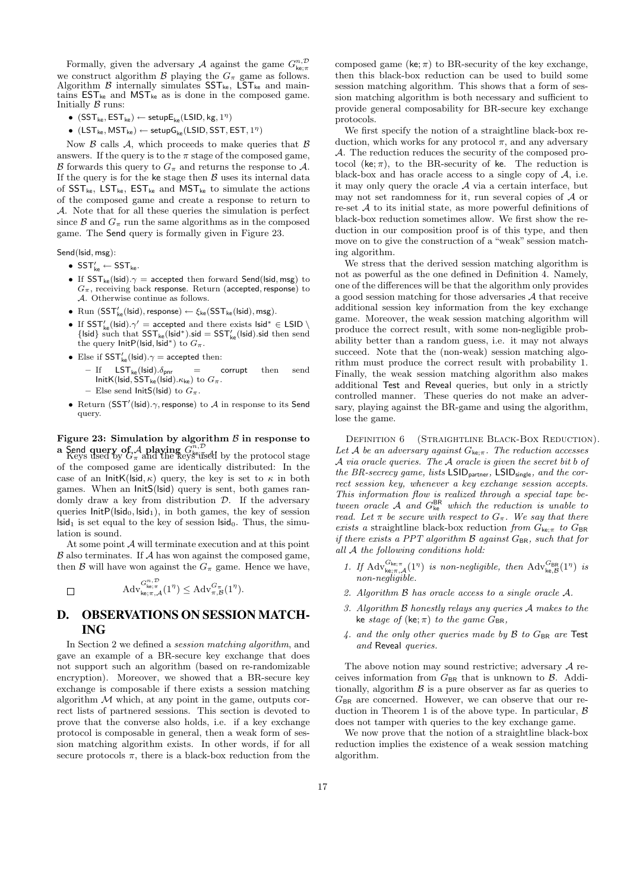Formally, given the adversary A against the game  $G_{\mathbf{k}\in\pi}^{n,\mathcal{D}}$ we construct algorithm  $\mathcal B$  playing the  $G_\pi$  game as follows. Algorithm  $\beta$  internally simulates  $SST_{ke}$ , LST<sub>ke</sub> and maintains  $EST_{ke}$  and  $MST_{ke}$  as is done in the composed game. Initially B runs:

- $\bullet$   $(\mathsf{SST_{ke}}, \mathsf{EST_{ke}}) \leftarrow \mathsf{setupE_{ke}}(\mathsf{LSID}, \mathsf{kg}, 1^\eta)$
- $\bullet\;\;(\mathsf{LST_{ke}},\mathsf{MST_{ke}}) \leftarrow \mathsf{setupG_{ke}}(\mathsf{LSID},\mathsf{SST},\mathsf{EST},1^\eta)$

Now  $\beta$  calls  $\mathcal{A}$ , which proceeds to make queries that  $\beta$ answers. If the query is to the  $\pi$  stage of the composed game, B forwards this query to  $G_{\pi}$  and returns the response to A. If the query is for the ke stage then  $\beta$  uses its internal data of  $SST_{ke}$ ,  $LST_{ke}$ ,  $EST_{ke}$  and  $MST_{ke}$  to simulate the actions of the composed game and create a response to return to A. Note that for all these queries the simulation is perfect since  $\beta$  and  $G_{\pi}$  run the same algorithms as in the composed game. The Send query is formally given in Figure 23.

Send(lsid, msg):

- $SST'_{ke} \leftarrow SST_{ke}.$
- If  $SST_{ke}$ (lsid). $\gamma$  = accepted then forward Send(lsid, msg) to  $G_{\pi}$ , receiving back response. Return (accepted, response) to A. Otherwise continue as follows.
- $\bullet~{\rm Run}~({\rm SST}'_{\rm ke}({\rm Isid}), {\rm response}) \leftarrow \xi_{\rm ke}({\rm SST}_{\rm ke}({\rm Isid}), {\rm msg}).$
- If  $SST'_{ke}(\text{Isid}).\gamma' = accepted$  and there exists lsid<sup>\*</sup>  $\in$  LSID \  ${\{\textsf{Isid}\}}$  such that  $\textsf{SST}_{\textsf{ke}}(\textsf{Isid}^*)$ .sid =  $\textsf{SST}_{\textsf{ke}}'(\textsf{Isid})$ .sid then send the query InitP(Isid, Isid<sup>\*</sup>) to  $G_{\pi}$ .
- Else if  $\mathsf{SST}'_{\mathsf{ke}}(\mathsf{Isid}).\gamma = \mathsf{accepted}$  then:
	- $-$  If  $\mathsf{LST}_{\mathsf{ke}}(\mathsf{Isid}).\delta_{\mathsf{pnr}} = \mathsf{corrupt}$  then send InitK(Isid,  $\mathsf{SST}_{\mathsf{ke}}(\mathsf{Isid}).\kappa_{\mathsf{ke}})$  to  $G_\pi.$ Else send InitS(Isid) to  $G_\pi$ .
	-
- Return (SST'(Isid). $\gamma$ , response) to A in response to its Send query.

# Figure 23: Simulation by algorithm  $\beta$  in response to  $\sum_{n=1}^{\infty}$ **a Send query of A playing**  $G_n^{n,D}$ <br>Keys used by  $G_{\pi}$  and the keys<sup>e</sup> used by the protocol stage

of the composed game are identically distributed: In the case of an InitK(Isid,  $\kappa$ ) query, the key is set to  $\kappa$  in both games. When an InitS(lsid) query is sent, both games randomly draw a key from distribution  $\mathcal{D}$ . If the adversary queries  $InitP(Isid<sub>0</sub>, Isid<sub>1</sub>),$  in both games, the key of session  $\mathsf{lsid}_1$  is set equal to the key of session  $\mathsf{lsid}_0$ . Thus, the simulation is sound.

At some point A will terminate execution and at this point  $\beta$  also terminates. If  $\mathcal A$  has won against the composed game, then B will have won against the  $G_{\pi}$  game. Hence we have,

$$
\Box \qquad \qquad \mathrm{Adv}_{\mathbf{k}e;\pi,\mathcal{A}}^{G_{\mathbf{k}e;\pi}^{n,\mathcal{D}}}(1^n) \leq \mathrm{Adv}_{\pi,\mathcal{B}}^{G_{\pi}^{n}}(1^n).
$$

# D. OBSERVATIONS ON SESSION MATCH-ING

In Section 2 we defined a *session matching algorithm*, and gave an example of a BR-secure key exchange that does not support such an algorithm (based on re-randomizable encryption). Moreover, we showed that a BR-secure key exchange is composable if there exists a session matching algorithm  $M$  which, at any point in the game, outputs correct lists of partnered sessions. This section is devoted to prove that the converse also holds, i.e. if a key exchange protocol is composable in general, then a weak form of session matching algorithm exists. In other words, if for all secure protocols  $\pi$ , there is a black-box reduction from the

composed game (ke;  $\pi$ ) to BR-security of the key exchange, then this black-box reduction can be used to build some session matching algorithm. This shows that a form of session matching algorithm is both necessary and sufficient to provide general composability for BR-secure key exchange protocols.

We first specify the notion of a straightline black-box reduction, which works for any protocol  $\pi$ , and any adversary A. The reduction reduces the security of the composed protocol (ke;  $\pi$ ), to the BR-security of ke. The reduction is black-box and has oracle access to a single copy of  $A$ , i.e. it may only query the oracle  $A$  via a certain interface, but may not set randomness for it, run several copies of A or re-set  $A$  to its initial state, as more powerful definitions of black-box reduction sometimes allow. We first show the reduction in our composition proof is of this type, and then move on to give the construction of a "weak" session matching algorithm.

We stress that the derived session matching algorithm is not as powerful as the one defined in Definition 4. Namely, one of the differences will be that the algorithm only provides a good session matching for those adversaries A that receive additional session key information from the key exchange game. Moreover, the weak session matching algorithm will produce the correct result, with some non-negligible probability better than a random guess, i.e. it may not always succeed. Note that the (non-weak) session matching algorithm must produce the correct result with probability 1. Finally, the weak session matching algorithm also makes additional Test and Reveal queries, but only in a strictly controlled manner. These queries do not make an adversary, playing against the BR-game and using the algorithm, lose the game.

DEFINITION 6 (STRAIGHTLINE BLACK-BOX REDUCTION). Let A be an adversary against  $G_{\text{ke};\pi}$ . The reduction accesses  $A$  via oracle queries. The  $A$  oracle is given the secret bit  $b$  of the BR-secrecy game, lists  $LSID_{\text{partner}}$ ,  $LSID_{\text{single}}$ , and the correct session key, whenever a key exchange session accepts. This information flow is realized through a special tape between oracle  $A$  and  $G_{\text{ke}}^{\text{BR}}$  which the reduction is unable to read. Let  $\pi$  be secure with respect to  $G_{\pi}$ . We say that there exists a straightline black-box reduction from  $G_{\mathbf{k}e\cdot\pi}$  to  $G_{\mathbf{BR}}$ if there exists a PPT algorithm  $\mathcal B$  against  $G_{BR}$ , such that for all A the following conditions hold:

- 1. If  $\mathrm{Adv}_{\mathsf{ke};\pi,\mathcal{A}}^{G_{\mathsf{ke};\pi}}(1^n)$  is non-negligible, then  $\mathrm{Adv}_{\mathsf{ke},\mathcal{B}}^{G_{\mathsf{BR}}}(1^n)$  is non-negligible.
- 2. Algorithm B has oracle access to a single oracle A.
- 3. Algorithm B honestly relays any queries A makes to the ke stage of (ke;  $\pi$ ) to the game  $G_{BR}$ ,
- 4. and the only other queries made by  $\beta$  to  $G_{BR}$  are Test and Reveal queries.

The above notion may sound restrictive; adversary A receives information from  $G_{BR}$  that is unknown to  $\beta$ . Additionally, algorithm  $\beta$  is a pure observer as far as queries to  $G_{BR}$  are concerned. However, we can observe that our reduction in Theorem 1 is of the above type. In particular,  $\beta$ does not tamper with queries to the key exchange game.

We now prove that the notion of a straightline black-box reduction implies the existence of a weak session matching algorithm.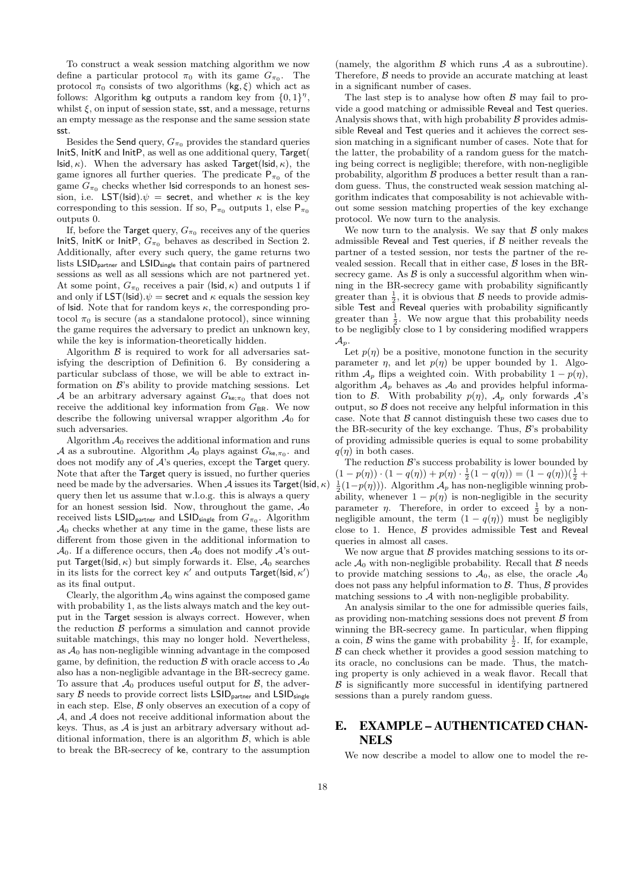To construct a weak session matching algorithm we now define a particular protocol  $\pi_0$  with its game  $G_{\pi_0}$ . The protocol  $\pi_0$  consists of two algorithms (kg,  $\xi$ ) which act as follows: Algorithm kg outputs a random key from  $\{0,1\}^{\eta}$ , whilst  $\xi$ , on input of session state, sst, and a message, returns an empty message as the response and the same session state sst.

Besides the Send query,  $G_{\pi_0}$  provides the standard queries InitS, InitK and InitP, as well as one additional query, Target(  $\textsf{lsid}, \kappa$ ). When the adversary has asked Target(lsid,  $\kappa$ ), the game ignores all further queries. The predicate  $P_{\pi_0}$  of the game  $G_{\pi_0}$  checks whether lsid corresponds to an honest session, i.e. LST(lsid). $\psi$  = secret, and whether  $\kappa$  is the key corresponding to this session. If so,  $P_{\pi_0}$  outputs 1, else  $P_{\pi_0}$ outputs 0.

If, before the Target query,  $G_{\pi_0}$  receives any of the queries InitS, InitK or InitP,  $G_{\pi_0}$  behaves as described in Section 2. Additionally, after every such query, the game returns two lists LSID<sub>partner</sub> and LSID<sub>single</sub> that contain pairs of partnered sessions as well as all sessions which are not partnered yet. At some point,  $G_{\pi_0}$  receives a pair (lsid,  $\kappa$ ) and outputs 1 if and only if  $\mathsf{LST}(\mathsf{Isid}).\psi = \mathsf{secret}$  and  $\kappa$  equals the session key of **lsid.** Note that for random keys  $\kappa$ , the corresponding protocol  $\pi_0$  is secure (as a standalone protocol), since winning the game requires the adversary to predict an unknown key, while the key is information-theoretically hidden.

Algorithm  $\beta$  is required to work for all adversaries satisfying the description of Definition 6. By considering a particular subclass of those, we will be able to extract information on  $\mathcal{B}$ 's ability to provide matching sessions. Let A be an arbitrary adversary against  $G_{\mathsf{ke};\pi_0}$  that does not receive the additional key information from  $G_{BR}$ . We now describe the following universal wrapper algorithm  $A_0$  for such adversaries.

Algorithm  $A_0$  receives the additional information and runs A as a subroutine. Algorithm  $\mathcal{A}_0$  plays against  $G_{\text{ke},\pi_0}$ . and does not modify any of A's queries, except the Target query. Note that after the Target query is issued, no further queries need be made by the adversaries. When A issues its  $Tarect(\text{Isid}, \kappa)$ query then let us assume that w.l.o.g. this is always a query for an honest session lsid. Now, throughout the game,  $A_0$ received lists  $LSID_{\text{partner}}$  and  $LSID_{\text{single}}$  from  $G_{\pi_0}$ . Algorithm  $\mathcal{A}_0$  checks whether at any time in the game, these lists are different from those given in the additional information to  $\mathcal{A}_0$ . If a difference occurs, then  $\mathcal{A}_0$  does not modify  $\mathcal{A}$ 's output Target(Isid,  $\kappa$ ) but simply forwards it. Else,  $\mathcal{A}_0$  searches in its lists for the correct key  $\kappa'$  and outputs  $\mathsf{Target}(\mathsf{Isid}, \kappa')$ as its final output.

Clearly, the algorithm  $\mathcal{A}_0$  wins against the composed game with probability 1, as the lists always match and the key output in the Target session is always correct. However, when the reduction  $B$  performs a simulation and cannot provide suitable matchings, this may no longer hold. Nevertheless, as  $A_0$  has non-negligible winning advantage in the composed game, by definition, the reduction  $\beta$  with oracle access to  $\mathcal{A}_0$ also has a non-negligible advantage in the BR-secrecy game. To assure that  $\mathcal{A}_0$  produces useful output for  $\mathcal{B}$ , the adversary  $\beta$  needs to provide correct lists  $LSID_{\text{partner}}$  and  $LSID_{\text{single}}$ in each step. Else,  $\beta$  only observes an execution of a copy of A, and A does not receive additional information about the keys. Thus, as  $A$  is just an arbitrary adversary without additional information, there is an algorithm  $\beta$ , which is able to break the BR-secrecy of ke, contrary to the assumption

(namely, the algorithm  $\beta$  which runs  $\mathcal A$  as a subroutine). Therefore,  $\beta$  needs to provide an accurate matching at least in a significant number of cases.

The last step is to analyse how often  $\beta$  may fail to provide a good matching or admissible Reveal and Test queries. Analysis shows that, with high probability  $\beta$  provides admissible Reveal and Test queries and it achieves the correct session matching in a significant number of cases. Note that for the latter, the probability of a random guess for the matching being correct is negligible; therefore, with non-negligible probability, algorithm  $\beta$  produces a better result than a random guess. Thus, the constructed weak session matching algorithm indicates that composability is not achievable without some session matching properties of the key exchange protocol. We now turn to the analysis.

We now turn to the analysis. We say that  $\beta$  only makes admissible Reveal and Test queries, if  $\beta$  neither reveals the partner of a tested session, nor tests the partner of the revealed session. Recall that in either case,  $\beta$  loses in the BRsecrecy game. As  $\beta$  is only a successful algorithm when winning in the BR-secrecy game with probability significantly greater than  $\frac{1}{2}$ , it is obvious that  $\beta$  needs to provide admissible Test and Reveal queries with probability significantly greater than  $\frac{1}{2}$ . We now argue that this probability needs to be negligibly close to 1 by considering modified wrappers  $\mathcal{A}_p.$ 

Let  $p(\eta)$  be a positive, monotone function in the security parameter  $\eta$ , and let  $p(\eta)$  be upper bounded by 1. Algorithm  $\mathcal{A}_p$  flips a weighted coin. With probability  $1 - p(\eta)$ , algorithm  $A_p$  behaves as  $A_0$  and provides helpful information to B. With probability  $p(\eta)$ ,  $\mathcal{A}_p$  only forwards  $\mathcal{A}$ 's output, so  $\mathcal B$  does not receive any helpful information in this case. Note that  $\beta$  cannot distinguish these two cases due to the BR-security of the key exchange. Thus,  $\mathcal{B}'$ 's probability of providing admissible queries is equal to some probability  $q(\eta)$  in both cases.

The reduction  $\mathcal{B}$ 's success probability is lower bounded by  $(1-p(\eta)) \cdot (1-q(\eta)) + p(\eta) \cdot \frac{1}{2}(1-q(\eta)) = (1-q(\eta))(\frac{1}{2} +$  $\frac{1}{2}(1-p(\eta)))$ . Algorithm  $\mathcal{A}_p$  has non-negligible winning probability, whenever  $1 - p(\eta)$  is non-negligible in the security parameter  $\eta$ . Therefore, in order to exceed  $\frac{1}{2}$  by a nonnegligible amount, the term  $(1 - q(\eta))$  must be negligibly close to 1. Hence,  $\beta$  provides admissible Test and Reveal queries in almost all cases.

We now argue that  $\beta$  provides matching sessions to its oracle  $\mathcal{A}_0$  with non-negligible probability. Recall that  $\beta$  needs to provide matching sessions to  $A_0$ , as else, the oracle  $A_0$ does not pass any helpful information to  $\beta$ . Thus,  $\beta$  provides matching sessions to  $A$  with non-negligible probability.

An analysis similar to the one for admissible queries fails, as providing non-matching sessions does not prevent  $\beta$  from winning the BR-secrecy game. In particular, when flipping a coin,  $\beta$  wins the game with probability  $\frac{1}{2}$ . If, for example,  $\beta$  can check whether it provides a good session matching to its oracle, no conclusions can be made. Thus, the matching property is only achieved in a weak flavor. Recall that  $\beta$  is significantly more successful in identifying partnered sessions than a purely random guess.

### E. EXAMPLE – AUTHENTICATED CHAN-NELS

We now describe a model to allow one to model the re-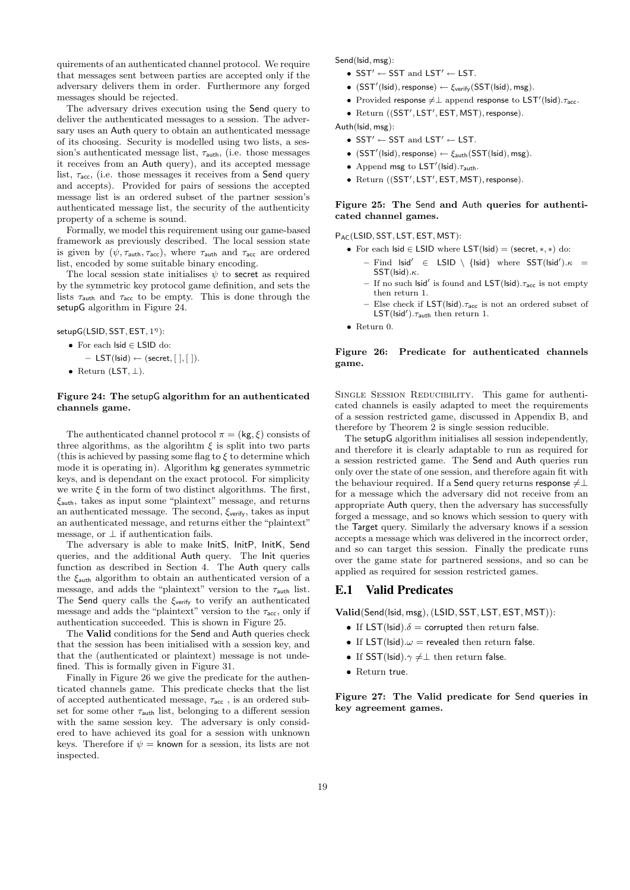quirements of an authenticated channel protocol. We require that messages sent between parties are accepted only if the adversary delivers them in order. Furthermore any forged messages should be rejected.

The adversary drives execution using the Send query to deliver the authenticated messages to a session. The adversary uses an Auth query to obtain an authenticated message of its choosing. Security is modelled using two lists, a session's authenticated message list,  $\tau_{\text{auth}}$ , (i.e. those messages it receives from an Auth query), and its accepted message list,  $\tau_{\text{acc}}$ , (i.e. those messages it receives from a **Send** query and accepts). Provided for pairs of sessions the accepted message list is an ordered subset of the partner session's authenticated message list, the security of the authenticity property of a scheme is sound.

Formally, we model this requirement using our game-based framework as previously described. The local session state is given by  $(\psi, \tau_{\text{auth}}, \tau_{\text{acc}})$ , where  $\tau_{\text{auth}}$  and  $\tau_{\text{acc}}$  are ordered list, encoded by some suitable binary encoding.

The local session state initialises  $\psi$  to secret as required by the symmetric key protocol game definition, and sets the lists  $\tau_{\text{auth}}$  and  $\tau_{\text{acc}}$  to be empty. This is done through the setupG algorithm in Figure 24.

 $setupG(LSID, SST, EST, 1<sup>7</sup>)$ :

- For each lsid ∈ LSID do:
	- $-$  LST(lsid)  $\leftarrow$  (secret,  $[ |, | ]$ ).
- Return  $(LST, \perp)$ .

#### Figure 24: The setupG algorithm for an authenticated channels game.

The authenticated channel protocol  $\pi = (kg, \xi)$  consists of three algorithms, as the algorithm  $\xi$  is split into two parts (this is achieved by passing some flag to  $\xi$  to determine which mode it is operating in). Algorithm kg generates symmetric keys, and is dependant on the exact protocol. For simplicity we write  $\xi$  in the form of two distinct algorithms. The first,  $\xi_{\text{auth}}$ , takes as input some "plaintext" message, and returns an authenticated message. The second,  $\xi_{\text{verify}}$ , takes as input an authenticated message, and returns either the "plaintext" message, or  $\perp$  if authentication fails.

The adversary is able to make InitS, InitP, InitK, Send queries, and the additional Auth query. The Init queries function as described in Section 4. The Auth query calls the  $\xi_{\text{auth}}$  algorithm to obtain an authenticated version of a message, and adds the "plaintext" version to the  $\tau_{\text{auth}}$  list. The Send query calls the  $\xi_{\text{verify}}$  to verify an authenticated message and adds the "plaintext" version to the  $\tau_{\text{acc}}$ , only if authentication succeeded. This is shown in Figure 25.

The Valid conditions for the Send and Auth queries check that the session has been initialised with a session key, and that the (authenticated or plaintext) message is not undefined. This is formally given in Figure 31.

Finally in Figure 26 we give the predicate for the authenticated channels game. This predicate checks that the list of accepted authenticated message,  $\tau_{\text{acc}}$ , is an ordered subset for some other  $\tau_{\text{auth}}$  list, belonging to a different session with the same session key. The adversary is only considered to have achieved its goal for a session with unknown keys. Therefore if  $\psi =$  known for a session, its lists are not inspected.

Send(lsid, msg):

- $SST' \leftarrow SST$  and  $LST' \leftarrow LST$ .
- $(SST'(Isid), response) \leftarrow \xi_{verify}(SST(Isid), msg).$
- Provided response  $\neq \perp$  append response to LST'(lsid). $\tau_{\text{acc}}$ .
- $\bullet$  Return ((SST', LST', EST, MST), response).

Auth(lsid, msg):

- $SST' \leftarrow SST$  and  $LST' \leftarrow LST$ .
- $(SST'(Isid), response) \leftarrow \xi_{auth}(SST(Isid), msg).$
- Append msg to  $\text{LST}'(\text{Isid}).\tau_{\text{auth}}$ .
- Return ((SST', LST', EST, MST), response).

### Figure 25: The Send and Auth queries for authenticated channel games.

PAC(LSID, SST, LST, EST, MST):

- For each lsid  $\in$  LSID where LST(lsid) = (secret, \*, \*) do:
	- $-$  Find Isid'  $\in$  LSID \ {Isid} where SST(lsid'). $\kappa$  = SST(lsid).κ.
	- If no such  $\text{lsid}'$  is found and LST(lsid). $\tau_{\text{acc}}$  is not empty then return 1.
	- Else check if  $LST(Isid) \cdot \tau_{acc}$  is not an ordered subset of LST(Isid'). $\tau_{\sf author}$  then return 1.
- Return 0.

#### Figure 26: Predicate for authenticated channels game.

SINGLE SESSION REDUCIBILITY. This game for authenticated channels is easily adapted to meet the requirements of a session restricted game, discussed in Appendix B, and therefore by Theorem 2 is single session reducible.

The setupG algorithm initialises all session independently, and therefore it is clearly adaptable to run as required for a session restricted game. The Send and Auth queries run only over the state of one session, and therefore again fit with the behaviour required. If a Send query returns response  $\neq \perp$ for a message which the adversary did not receive from an appropriate Auth query, then the adversary has successfully forged a message, and so knows which session to query with the Target query. Similarly the adversary knows if a session accepts a message which was delivered in the incorrect order, and so can target this session. Finally the predicate runs over the game state for partnered sessions, and so can be applied as required for session restricted games.

### E.1 Valid Predicates

Valid(Send(lsid, msg),(LSID, SST, LST, EST, MST)):

- If LST(lsid). $\delta$  = corrupted then return false.
- If LST(lsid). $\omega$  = revealed then return false.
- If SST(lsid). $\gamma \neq \perp$  then return false.
- Return true.

Figure 27: The Valid predicate for Send queries in key agreement games.